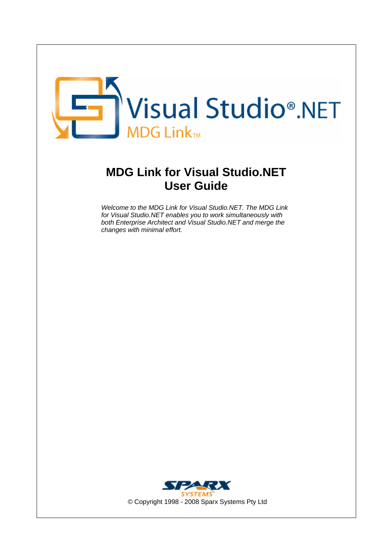

## **MDG Link for Visual Studio.NET User Guide**

*Welcome to the MDG Link for Visual Studio.NET. The MDG Link for Visual Studio.NET enables you to work simultaneously with both Enterprise Architect and Visual Studio.NET and merge the changes with minimal effort.*

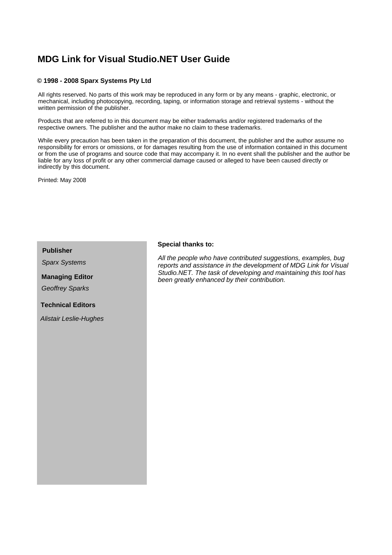### **MDG Link for Visual Studio.NET User Guide**

#### **© 1998 - 2008 Sparx Systems Pty Ltd**

All rights reserved. No parts of this work may be reproduced in any form or by any means - graphic, electronic, or mechanical, including photocopying, recording, taping, or information storage and retrieval systems - without the written permission of the publisher.

Products that are referred to in this document may be either trademarks and/or registered trademarks of the respective owners. The publisher and the author make no claim to these trademarks.

While every precaution has been taken in the preparation of this document, the publisher and the author assume no responsibility for errors or omissions, or for damages resulting from the use of information contained in this document or from the use of programs and source code that may accompany it. In no event shall the publisher and the author be liable for any loss of profit or any other commercial damage caused or alleged to have been caused directly or indirectly by this document.

Printed: May 2008

*Sparx Systems*

*Geoffrey Sparks*

**Technical Editors**

*Alistair Leslie-Hughes*

### **Publisher Special thanks to:**

*All the people who have contributed suggestions, examples, bug reports and assistance in the development of MDG Link for Visual Studio.NET. The task of developing and maintaining this tool has been greatly enhanced by their contribution.* **Managing Editor**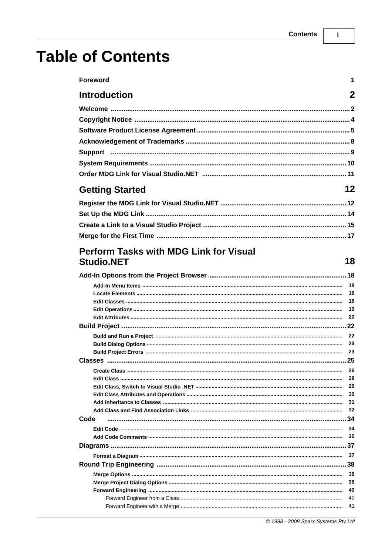$\mathbf I$ 

# **Table of Contents**

| <b>Foreword</b>                               | 1        |
|-----------------------------------------------|----------|
| <b>Introduction</b>                           | 2        |
|                                               |          |
|                                               |          |
|                                               |          |
|                                               |          |
|                                               |          |
|                                               |          |
|                                               |          |
|                                               |          |
| <b>Getting Started</b>                        | 12       |
|                                               |          |
|                                               |          |
|                                               |          |
|                                               |          |
|                                               |          |
| <b>Perform Tasks with MDG Link for Visual</b> |          |
| <b>Studio.NET</b>                             | 18       |
|                                               |          |
|                                               |          |
|                                               | 18       |
|                                               | 18       |
|                                               | 19       |
|                                               |          |
|                                               |          |
|                                               |          |
|                                               |          |
|                                               |          |
|                                               |          |
|                                               | 28       |
|                                               | 29       |
|                                               | 30<br>31 |
|                                               | 32       |
| Code                                          |          |
|                                               |          |
|                                               | -35      |
|                                               |          |
|                                               |          |
|                                               |          |
|                                               | 38       |
|                                               | 38       |
|                                               | 40<br>40 |
|                                               |          |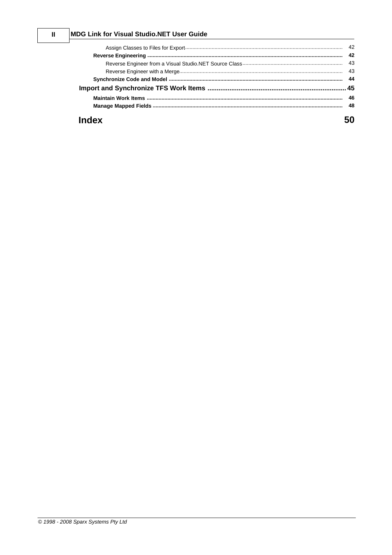$\mathbf{I}$ 

| <b>Index</b> |      |
|--------------|------|
|              | - 48 |
|              |      |
|              |      |
|              |      |
|              |      |
|              |      |
|              |      |
|              |      |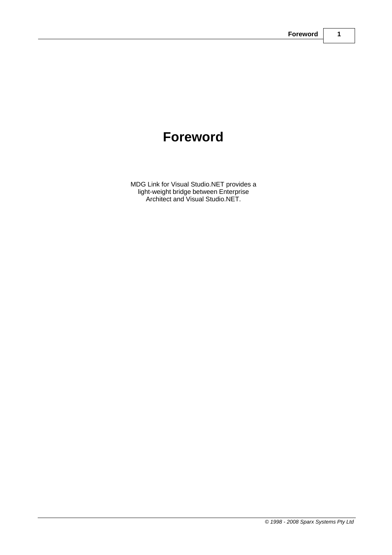# **Foreword**

MDG Link for Visual Studio.NET provides a light-weight bridge between Enterprise Architect and Visual Studio.NET.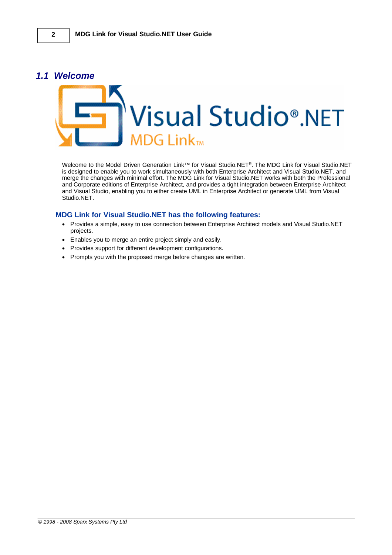#### *1.1 Welcome*



Welcome to the Model Driven Generation Link™ for Visual Studio.NETR. The MDG Link for Visual Studio.NET is designed to enable you to work simultaneously with both Enterprise Architect and Visual Studio.NET, and merge the changes with minimal effort. The MDG Link for Visual Studio.NET works with both the Professional and Corporate editions of Enterprise Architect, and provides a tight integration between Enterprise Architect and Visual Studio, enabling you to either create UML in Enterprise Architect or generate UML from Visual Studio.NET.

#### **MDG Link for Visual Studio.NET has the following features:**

- · Provides a simple, easy to use connection between Enterprise Architect models and Visual Studio.NET projects.
- · Enables you to merge an entire project simply and easily.
- · Provides support for different development configurations.
- · Prompts you with the proposed merge before changes are written.

<span id="page-5-0"></span>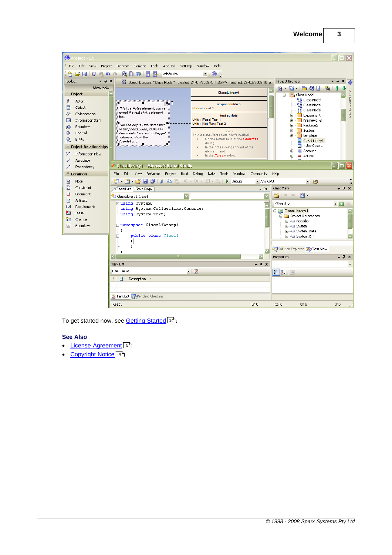

To get started now, see <u>Getting Started</u> 14 .

#### **See Also**

- <u>[License Agreement](#page-8-0)</u>l 5<sup>ら</sup>
- · [Copyright Notice](#page-7-0) 4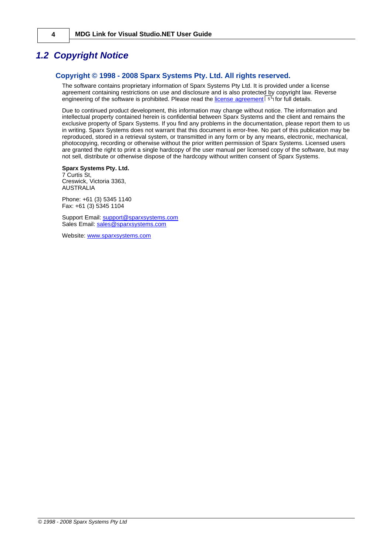### <span id="page-7-0"></span>*1.2 Copyright Notice*

#### **Copyright © 1998 - 2008 Sparx Systems Pty. Ltd. All rights reserved.**

The software contains proprietary information of Sparx Systems Pty Ltd. It is provided under a license agreement containing restrictions on use and disclosure and is also protecte<u>d b</u>y copyright law. Reverse engineering of the software is prohibited. Please read the <u>[license agreement](#page-8-0)</u>l 5 ीfor full details.

Due to continued product development, this information may change without notice. The information and intellectual property contained herein is confidential between Sparx Systems and the client and remains the exclusive property of Sparx Systems. If you find any problems in the documentation, please report them to us in writing. Sparx Systems does not warrant that this document is error-free. No part of this publication may be reproduced, stored in a retrieval system, or transmitted in any form or by any means, electronic, mechanical, photocopying, recording or otherwise without the prior written permission of Sparx Systems. Licensed users are granted the right to print a single hardcopy of the user manual per licensed copy of the software, but may not sell, distribute or otherwise dispose of the hardcopy without written consent of Sparx Systems.

**Sparx Systems Pty. Ltd.**

7 Curtis St, Creswick, Victoria 3363, AUSTRALIA

Phone: +61 (3) 5345 1140 Fax: +61 (3) 5345 1104

Support Email: [support@sparxsystems.com](mailto:support@sparxsystems.com) Sales Email: [sales@sparxsystems.com](mailto:sales@sparxsystems.com)

Website: [www.sparxsystems.com](http://www.sparxsystems.com)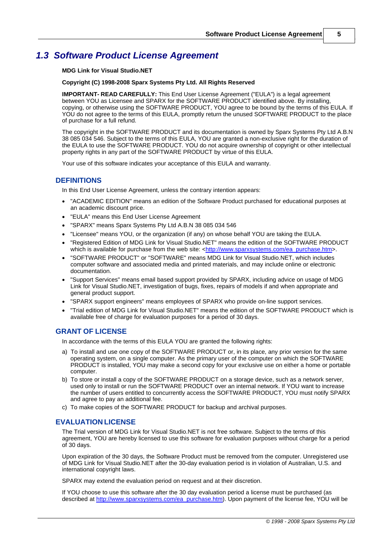### <span id="page-8-0"></span>*1.3 Software Product License Agreement*

#### **MDG Link for Visual Studio.NET**

#### **Copyright (C) 1998-2008 Sparx Systems Pty Ltd. All Rights Reserved**

**IMPORTANT- READ CAREFULLY:** This End User License Agreement ("EULA") is a legal agreement between YOU as Licensee and SPARX for the SOFTWARE PRODUCT identified above. By installing, copying, or otherwise using the SOFTWARE PRODUCT, YOU agree to be bound by the terms of this EULA. If YOU do not agree to the terms of this EULA, promptly return the unused SOFTWARE PRODUCT to the place of purchase for a full refund.

The copyright in the SOFTWARE PRODUCT and its documentation is owned by Sparx Systems Pty Ltd A.B.N 38 085 034 546. Subject to the terms of this EULA, YOU are granted a non-exclusive right for the duration of the EULA to use the SOFTWARE PRODUCT. YOU do not acquire ownership of copyright or other intellectual property rights in any part of the SOFTWARE PRODUCT by virtue of this EULA.

Your use of this software indicates your acceptance of this EULA and warranty.

#### **DEFINITIONS**

In this End User License Agreement, unless the contrary intention appears:

- · "ACADEMIC EDITION" means an edition of the Software Product purchased for educational purposes at an academic discount price.
- · "EULA" means this End User License Agreement
- · "SPARX" means Sparx Systems Pty Ltd A.B.N 38 085 034 546
- · "Licensee" means YOU, or the organization (if any) on whose behalf YOU are taking the EULA.
- · "Registered Edition of MDG Link for Visual Studio.NET" means the edition of the SOFTWARE PRODUCT which is available for purchase from the web site: [<http://www.sparxsystems.com/ea\\_purchase.htm>](http://www.sparxsystems.com/ea_purchase.htm).
- · "SOFTWARE PRODUCT" or "SOFTWARE" means MDG Link for Visual Studio.NET, which includes computer software and associated media and printed materials, and may include online or electronic documentation.
- · "Support Services" means email based support provided by SPARX, including advice on usage of MDG Link for Visual Studio.NET, investigation of bugs, fixes, repairs of models if and when appropriate and general product support.
- · "SPARX support engineers" means employees of SPARX who provide on-line support services.
- · "Trial edition of MDG Link for Visual Studio.NET" means the edition of the SOFTWARE PRODUCT which is available free of charge for evaluation purposes for a period of 30 days.

#### **GRANT OF LICENSE**

In accordance with the terms of this EULA YOU are granted the following rights:

- a) To install and use one copy of the SOFTWARE PRODUCT or, in its place, any prior version for the same operating system, on a single computer. As the primary user of the computer on which the SOFTWARE PRODUCT is installed, YOU may make a second copy for your exclusive use on either a home or portable computer.
- b) To store or install a copy of the SOFTWARE PRODUCT on a storage device, such as a network server, used only to install or run the SOFTWARE PRODUCT over an internal network. If YOU want to increase the number of users entitled to concurrently access the SOFTWARE PRODUCT, YOU must notify SPARX and agree to pay an additional fee.
- c) To make copies of the SOFTWARE PRODUCT for backup and archival purposes.

#### **EVALUATION LICENSE**

The Trial version of MDG Link for Visual Studio.NET is not free software. Subject to the terms of this agreement, YOU are hereby licensed to use this software for evaluation purposes without charge for a period of 30 days.

Upon expiration of the 30 days, the Software Product must be removed from the computer. Unregistered use of MDG Link for Visual Studio.NET after the 30-day evaluation period is in violation of Australian, U.S. and international copyright laws.

SPARX may extend the evaluation period on request and at their discretion.

If YOU choose to use this software after the 30 day evaluation period a license must be purchased (as described at [http://www.sparxsystems.com/ea\\_purchase.htm\)](http://www.sparxsystems.com/ea_purchase.htm). Upon payment of the license fee, YOU will be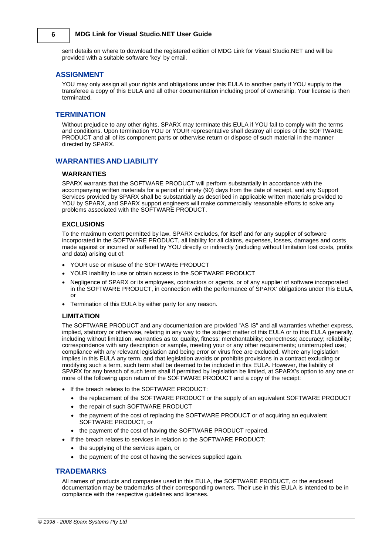#### **6 MDG Link for Visual Studio.NET User Guide**

sent details on where to download the registered edition of MDG Link for Visual Studio.NET and will be provided with a suitable software 'key' by email.

#### **ASSIGNMENT**

YOU may only assign all your rights and obligations under this EULA to another party if YOU supply to the transferee a copy of this EULA and all other documentation including proof of ownership. Your license is then terminated.

#### **TERMINATION**

Without prejudice to any other rights, SPARX may terminate this EULA if YOU fail to comply with the terms and conditions. Upon termination YOU or YOUR representative shall destroy all copies of the SOFTWARE PRODUCT and all of its component parts or otherwise return or dispose of such material in the manner directed by SPARX.

#### **WARRANTIES AND LIABILITY**

#### **WARRANTIES**

SPARX warrants that the SOFTWARE PRODUCT will perform substantially in accordance with the accompanying written materials for a period of ninety (90) days from the date of receipt, and any Support Services provided by SPARX shall be substantially as described in applicable written materials provided to YOU by SPARX, and SPARX support engineers will make commercially reasonable efforts to solve any problems associated with the SOFTWARE PRODUCT.

#### **EXCLUSIONS**

To the maximum extent permitted by law, SPARX excludes, for itself and for any supplier of software incorporated in the SOFTWARE PRODUCT, all liability for all claims, expenses, losses, damages and costs made against or incurred or suffered by YOU directly or indirectly (including without limitation lost costs, profits and data) arising out of:

- · YOUR use or misuse of the SOFTWARE PRODUCT
- YOUR inability to use or obtain access to the SOFTWARE PRODUCT
- Negligence of SPARX or its employees, contractors or agents, or of any supplier of software incorporated in the SOFTWARE PRODUCT, in connection with the performance of SPARX' obligations under this EULA, or
- Termination of this EULA by either party for any reason.

#### **LIMITATION**

The SOFTWARE PRODUCT and any documentation are provided "AS IS" and all warranties whether express, implied, statutory or otherwise, relating in any way to the subject matter of this EULA or to this EULA generally, including without limitation, warranties as to: quality, fitness; merchantability; correctness; accuracy; reliability; correspondence with any description or sample, meeting your or any other requirements; uninterrupted use; compliance with any relevant legislation and being error or virus free are excluded. Where any legislation implies in this EULA any term, and that legislation avoids or prohibits provisions in a contract excluding or modifying such a term, such term shall be deemed to be included in this EULA. However, the liability of SPARX for any breach of such term shall if permitted by legislation be limited, at SPARX's option to any one or more of the following upon return of the SOFTWARE PRODUCT and a copy of the receipt:

- · If the breach relates to the SOFTWARE PRODUCT:
	- · the replacement of the SOFTWARE PRODUCT or the supply of an equivalent SOFTWARE PRODUCT
	- the repair of such SOFTWARE PRODUCT
	- the payment of the cost of replacing the SOFTWARE PRODUCT or of acquiring an equivalent SOFTWARE PRODUCT, or
	- the payment of the cost of having the SOFTWARE PRODUCT repaired.
- · If the breach relates to services in relation to the SOFTWARE PRODUCT:
	- the supplying of the services again, or
	- · the payment of the cost of having the services supplied again.

#### **TRADEMARKS**

All names of products and companies used in this EULA, the SOFTWARE PRODUCT, or the enclosed documentation may be trademarks of their corresponding owners. Their use in this EULA is intended to be in compliance with the respective guidelines and licenses.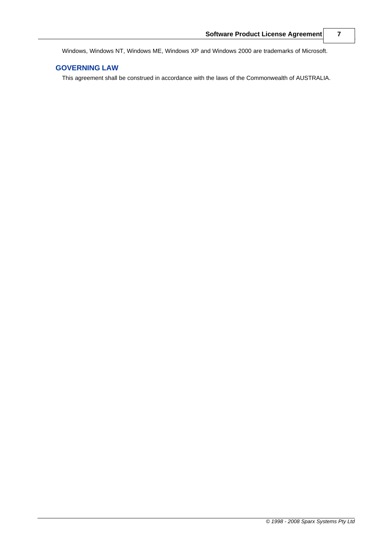Windows, Windows NT, Windows ME, Windows XP and Windows 2000 are trademarks of Microsoft.

#### **GOVERNING LAW**

This agreement shall be construed in accordance with the laws of the Commonwealth of AUSTRALIA.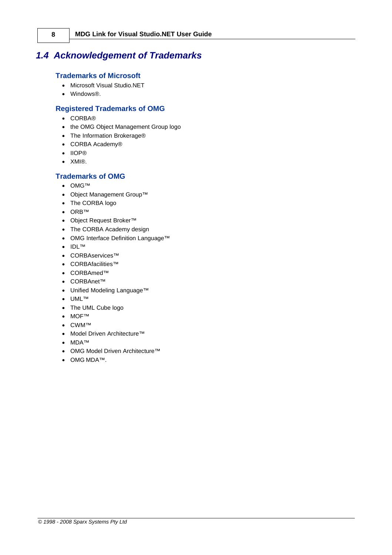### <span id="page-11-0"></span>*1.4 Acknowledgement of Trademarks*

#### **Trademarks of Microsoft**

- · Microsoft Visual Studio.NET
- · Windows®.

#### **Registered Trademarks of OMG**

- · CORBA®
- · the OMG Object Management Group logo
- · The Information Brokerage®
- · CORBA Academy®
- · IIOP®
- · XMI®.

#### **Trademarks of OMG**

- · OMG™
- · Object Management Group™
- · The CORBA logo
- · ORB™
- · Object Request Broker™
- The CORBA Academy design
- · OMG Interface Definition Language™
- · IDL™
- · CORBAservices™
- · CORBAfacilities™
- · CORBAmed™
- · CORBAnet™
- · Unified Modeling Language™
- · UML™
- · The UML Cube logo
- · MOF™
- · CWM™
- · Model Driven Architecture™
- · MDA™
- · OMG Model Driven Architecture™
- · OMG MDA™.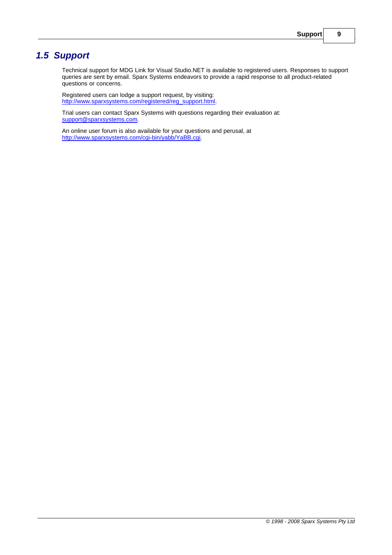### <span id="page-12-0"></span>*1.5 Support*

Technical support for MDG Link for Visual Studio.NET is available to registered users. Responses to support queries are sent by email. Sparx Systems endeavors to provide a rapid response to all product-related questions or concerns.

Registered users can lodge a support request, by visiting: [http://www.sparxsystems.com/registered/reg\\_support.html.](http://www.sparxsystems.com/registered/reg_support.html)

Trial users can contact Sparx Systems with questions regarding their evaluation at: [support@sparxsystems.com](mailto:support@sparxsystems.com).

An online user forum is also available for your questions and perusal, at <http://www.sparxsystems.com/cgi-bin/yabb/YaBB.cgi>.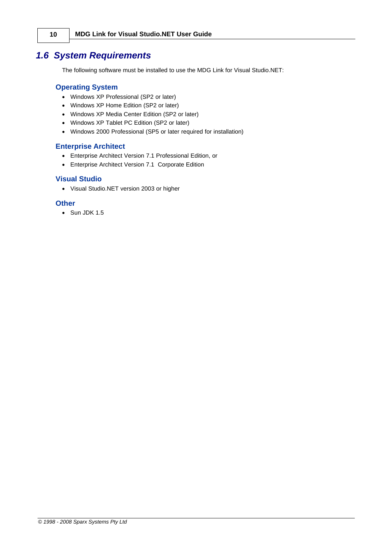### <span id="page-13-0"></span>*1.6 System Requirements*

The following software must be installed to use the MDG Link for Visual Studio.NET:

#### **Operating System**

- · Windows XP Professional (SP2 or later)
- · Windows XP Home Edition (SP2 or later)
- · Windows XP Media Center Edition (SP2 or later)
- · Windows XP Tablet PC Edition (SP2 or later)
- · Windows 2000 Professional (SP5 or later required for installation)

#### **Enterprise Architect**

- · Enterprise Architect Version 7.1 Professional Edition, or
- · Enterprise Architect Version 7.1 Corporate Edition

#### **Visual Studio**

· Visual Studio.NET version 2003 or higher

#### **Other**

· Sun JDK 1.5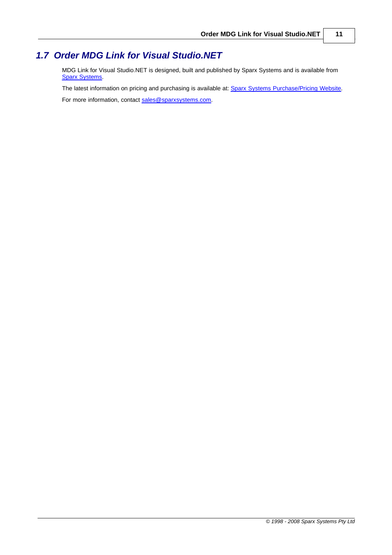### <span id="page-14-0"></span>*1.7 Order MDG Link for Visual Studio.NET*

MDG Link for Visual Studio.NET is designed, built and published by Sparx Systems and is available from [Sparx Systems.](http://www.sparxsystems.com/)

The latest information on pricing and purchasing is available at: [Sparx Systems Purchase/Pricing Website.](http://www.sparxsystems.com/ea_purchase.htm)

For more information, contact [sales@sparxsystems.com](mailto:sales@sparxsystems.com).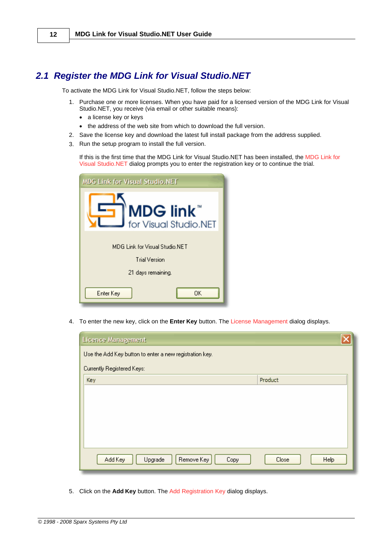### *2.1 Register the MDG Link for Visual Studio.NET*

To activate the MDG Link for Visual Studio.NET, follow the steps below:

- 1. Purchase one or more licenses. When you have paid for a licensed version of the MDG Link for Visual Studio.NET, you receive (via email or other suitable means):
	- a license key or keys
	- · the address of the web site from which to download the full version.
- 2. Save the license key and download the latest full install package from the address supplied.
- 3. Run the setup program to install the full version.

If this is the first time that the MDG Link for Visual Studio.NET has been installed, the MDG Link for Visual Studio.NET dialog prompts you to enter the registration key or to continue the trial.

| <b>MDG Link for Visual Studio.NET</b>                 |
|-------------------------------------------------------|
| <b>MDG link</b> <sup>"</sup><br>for Visual Studio.NET |
| MDG Link for Visual Studio.NET                        |
| <b>Trial Version</b>                                  |
| 21 days remaining.                                    |
| 0K.<br>Enter Key                                      |

4. To enter the new key, click on the **Enter Key** button. The License Management dialog displays.

| Licence Management                                      | $\overline{\mathsf{x}}$ |
|---------------------------------------------------------|-------------------------|
| Use the Add Key button to enter a new registration key. |                         |
| Currently Registered Keys:                              |                         |
| Key                                                     | Product                 |
|                                                         |                         |
|                                                         |                         |
|                                                         |                         |
|                                                         |                         |
|                                                         |                         |
| Remove Key<br>Add Key<br>Upgrade<br>Copy                | Help<br>Close           |

5. Click on the **Add Key** button. The Add Registration Key dialog displays.

<span id="page-15-0"></span>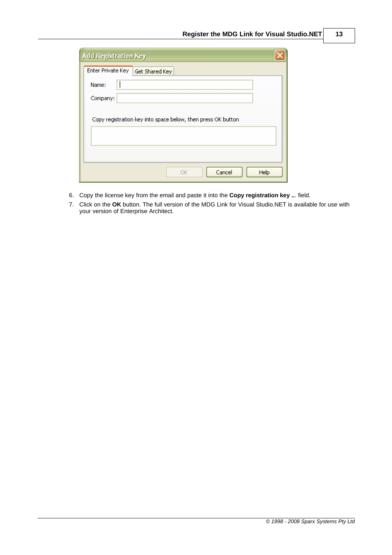| <b>Add Registration Key</b>                                  |  |
|--------------------------------------------------------------|--|
| Enter Private Key<br>Get Shared Key                          |  |
| Name:                                                        |  |
| Company:                                                     |  |
| Copy registration key into space below, then press OK button |  |
| Cancel<br>Help<br>OK                                         |  |

- 6. Copy the license key from the email and paste it into the **Copy registration key ..**. field.
- 7. Click on the **OK** button. The full version of the MDG Link for Visual Studio.NET is available for use with your version of Enterprise Architect.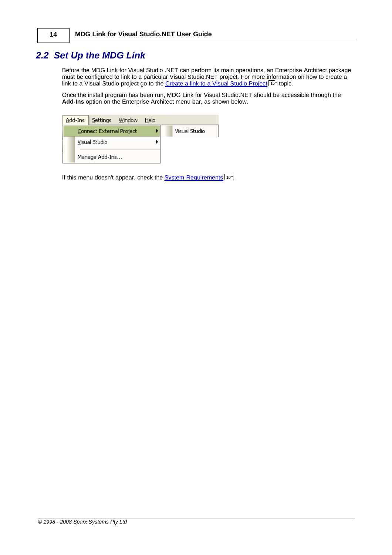### <span id="page-17-0"></span>*2.2 Set Up the MDG Link*

Before the MDG Link for Visual Studio .NET can perform its main operations, an Enterprise Architect package must be configured to link to a particular Visual Studio.NET project. For more information on how to create a link to a Visual Studio project go to the <u>[Create a link to a Visual Studio Project](#page-18-0)</u>l 15 topic.

Once the install program has been run, MDG Link for Visual Studio.NET should be accessible through the **Add-Ins** option on the Enterprise Architect menu bar, as shown below.

|               | Add-Ins Settings Window  |  | Help |               |
|---------------|--------------------------|--|------|---------------|
|               | Connect External Project |  |      | Visual Studio |
| Visual Studio |                          |  |      |               |
|               | Manage Add-Ins           |  |      |               |

If this menu doesn't appear, check the <u>[System Requirements](#page-13-0)</u> কৰি কে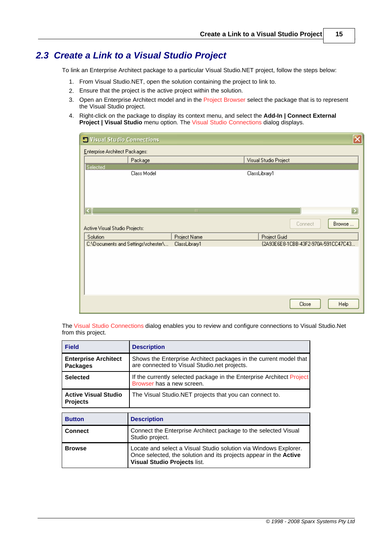### <span id="page-18-0"></span>*2.3 Create a Link to a Visual Studio Project*

To link an Enterprise Architect package to a particular Visual Studio.NET project, follow the steps below:

- 1. From Visual Studio.NET, open the solution containing the project to link to.
- 2. Ensure that the project is the active project within the solution.
- 3. Open an Enterprise Architect model and in the Project Browser select the package that is to represent the Visual Studio project.
- 4. Right-click on the package to display its context menu, and select the **Add-In | Connect External Project | Visual Studio** menu option. The Visual Studio Connections dialog displays.

| Visual Studio Connections           |               | ি×                                  |
|-------------------------------------|---------------|-------------------------------------|
| Enterprise Architect Packages:      |               |                                     |
| Package                             |               | Visual Studio Project               |
| Selected<br>Class Model             |               | ClassLibrary1                       |
|                                     |               |                                     |
| ℧                                   | $\rm III$     |                                     |
| Active Visual Studio Projects:      |               | Browse<br>Connect                   |
| Solution                            | Project Name  | <b>Project Guid</b>                 |
| C:\Documents and Settings\rchester\ | ClassLibrary1 | {2A93E6E8-1CBB-43F2-970A-591CC47C43 |
|                                     |               |                                     |
|                                     |               | Help<br>Close                       |

The Visual Studio Connections dialog enables you to review and configure connections to Visual Studio.Net from this project.

| <b>Field</b>                                   | <b>Description</b>                                                                                                                                                    |
|------------------------------------------------|-----------------------------------------------------------------------------------------------------------------------------------------------------------------------|
| <b>Enterprise Architect</b><br><b>Packages</b> | Shows the Enterprise Architect packages in the current model that<br>are connected to Visual Studio.net projects.                                                     |
| <b>Selected</b>                                | If the currently selected package in the Enterprise Architect Project<br>Browser has a new screen.                                                                    |
| <b>Active Visual Studio</b><br><b>Projects</b> | The Visual Studio. NET projects that you can connect to.                                                                                                              |
| <b>Button</b>                                  | <b>Description</b>                                                                                                                                                    |
| <b>Connect</b>                                 | Connect the Enterprise Architect package to the selected Visual<br>Studio project.                                                                                    |
| <b>Browse</b>                                  | Locate and select a Visual Studio solution via Windows Explorer.<br>Once selected, the solution and its projects appear in the Active<br>Visual Studio Projects list. |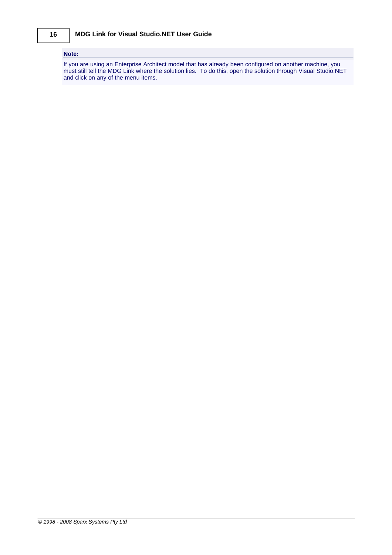#### **Note:**

If you are using an Enterprise Architect model that has already been configured on another machine, you must still tell the MDG Link where the solution lies. To do this, open the solution through Visual Studio.NET and click on any of the menu items.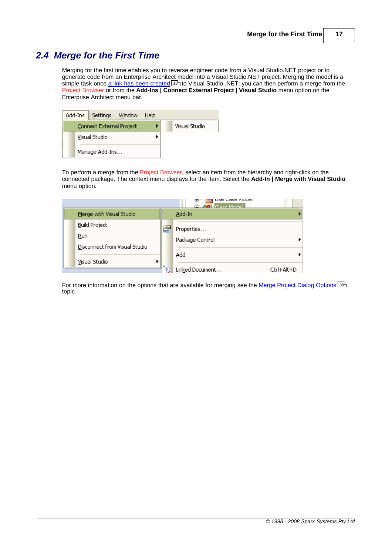### <span id="page-20-0"></span>*2.4 Merge for the First Time*

Merging for the first time enables you to reverse engineer code from a Visual Studio.NET project or to generate code from an Enterprise Architect model into a Visual Studio.NET project. Merging the model is a simple task once <u>a link has been created</u>| 15 N Uisual Studio .NET; you can then perform a merge from the Project Browser or from the **Add-Ins | Connect External Project | Visual Studio** menu option on the Enterprise Architect menu bar.

| Add-Ins       |  | Settings                 | Window | Help |               |
|---------------|--|--------------------------|--------|------|---------------|
|               |  | Connect External Project |        |      | Visual Studio |
| Visual Studio |  |                          |        |      |               |
|               |  | Manage Add-Ins           |        |      |               |

To perform a merge from the Project Browser, select an item from the hierarchy and right-click on the connected package. The context menu displays for the item. Select the **Add-In | Merge with Visual Studio** menu option.

|                               |   | <b>OPE CAPE MORE!</b><br><b>M</b> Class Model |            |
|-------------------------------|---|-----------------------------------------------|------------|
| Merge with Visual Studio      |   | Add-In                                        |            |
| <b>Build Project</b>          | 絼 | Properties                                    |            |
| Run                           |   | Package Control                               |            |
| Disconnect from Visual Studio |   |                                               |            |
| Visual Studio                 |   | Add                                           |            |
|                               |   | Linked Document…                              | Ctrl+Alt+D |

For more information on the options that are available for merging see the <u>[Merge Project Dialog Options](#page-41-2)</u> 38<sup>4</sup> topic.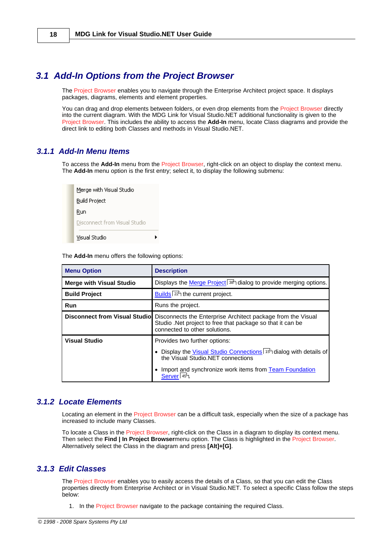<span id="page-21-0"></span>

### *3.1 Add-In Options from the Project Browser*

The Project Browser enables you to navigate through the Enterprise Architect project space. It displays packages, diagrams, elements and element properties.

You can drag and drop elements between folders, or even drop elements from the Project Browser directly into the current diagram. With the MDG Link for Visual Studio.NET additional functionality is given to the Project Browser. This includes the ability to access the **Add-In** menu, locate Class diagrams and provide the direct link to editing both Classes and methods in Visual Studio.NET.

#### <span id="page-21-1"></span>*3.1.1 Add-In Menu Items*

To access the **Add-In** menu from the Project Browser, right-click on an object to display the context menu. The **Add-In** menu option is the first entry; select it, to display the following submenu:

| Merge with Visual Studio      |
|-------------------------------|
| <b>Build Project</b>          |
| Run                           |
| Disconnect from Visual Studio |
| Visual Studio                 |

The **Add-In** menu offers the following options:

| <b>Menu Option</b>                    | <b>Description</b>                                                                                                                                                                                                                     |
|---------------------------------------|----------------------------------------------------------------------------------------------------------------------------------------------------------------------------------------------------------------------------------------|
| <b>Merge with Visual Studio</b>       | Displays the Merge Project $38^{\circ}$ dialog to provide merging options.                                                                                                                                                             |
| <b>Build Project</b>                  | Builds $22^{\circ}$ the current project.                                                                                                                                                                                               |
| Run                                   | Runs the project.                                                                                                                                                                                                                      |
| <b>Disconnect from Visual Studiol</b> | Disconnects the Enterprise Architect package from the Visual<br>Studio . Net project to free that package so that it can be<br>connected to other solutions.                                                                           |
| <b>Visual Studio</b>                  | Provides two further options:<br>Display the Visual Studio Connections 15 <sup>h</sup> dialog with details of<br>the Visual Studio NET connections<br>Import and synchronize work items from Team Foundation<br>Server 45 <sup>h</sup> |

#### <span id="page-21-2"></span>*3.1.2 Locate Elements*

Locating an element in the Project Browser can be a difficult task, especially when the size of a package has increased to include many Classes.

To locate a Class in the Project Browser, right-click on the Class in a diagram to display its context menu. Then select the **Find | In Project Browser**menu option. The Class is highlighted in the Project Browser. Alternatively select the Class in the diagram and press **[Alt]+[G]**.

#### <span id="page-21-3"></span>*3.1.3 Edit Classes*

The Project Browser enables you to easily access the details of a Class, so that you can edit the Class properties directly from Enterprise Architect or in Visual Studio.NET. To select a specific Class follow the steps below:

1. In the Project Browser navigate to the package containing the required Class.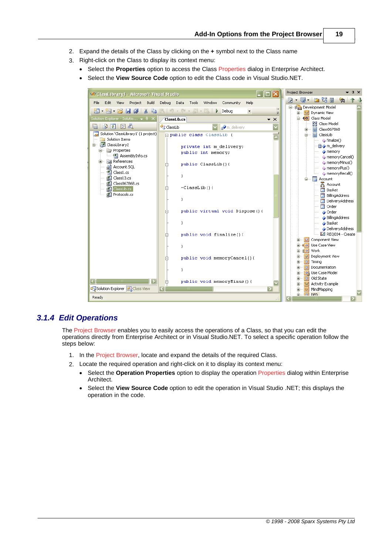- 2. Expand the details of the Class by clicking on the **+** symbol next to the Class name
- 3. Right-click on the Class to display its context menu:
	- · Select the **Properties** option to access the Class Properties dialog in Enterprise Architect.
	- · Select the **View Source Code** option to edit the Class code in Visual Studio.NET.



#### <span id="page-22-0"></span>*3.1.4 Edit Operations*

The Project Browser enables you to easily access the operations of a Class, so that you can edit the operations directly from Enterprise Architect or in Visual Studio.NET. To select a specific operation follow the steps below:

- 1. In the Project Browser, locate and expand the details of the required Class.
- 2. Locate the required operation and right-click on it to display its context menu:
	- Select the **Operation Properties** option to display the operation Properties dialog within Enterprise Architect.
	- Select the **View Source Code** option to edit the operation in Visual Studio .NET; this displays the operation in the code.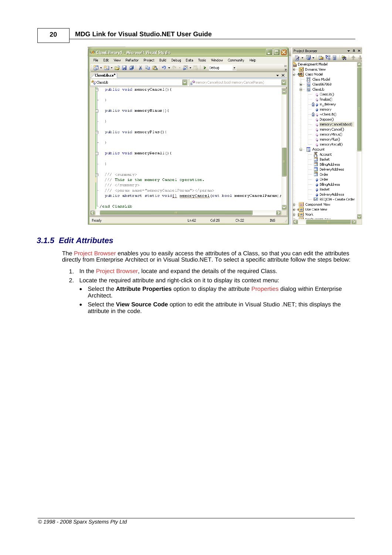#### **20 MDG Link for Visual Studio.NET User Guide**



#### <span id="page-23-0"></span>*3.1.5 Edit Attributes*

The Project Browser enables you to easily access the attributes of a Class, so that you can edit the attributes directly from Enterprise Architect or in Visual Studio.NET. To select a specific attribute follow the steps below:

- 1. In the Project Browser, locate and expand the details of the required Class.
- 2. Locate the required attribute and right-click on it to display its context menu:
	- · Select the **Attribute Properties** option to display the attribute Properties dialog within Enterprise Architect.
	- · Select the **View Source Code** option to edit the attribute in Visual Studio .NET; this displays the attribute in the code.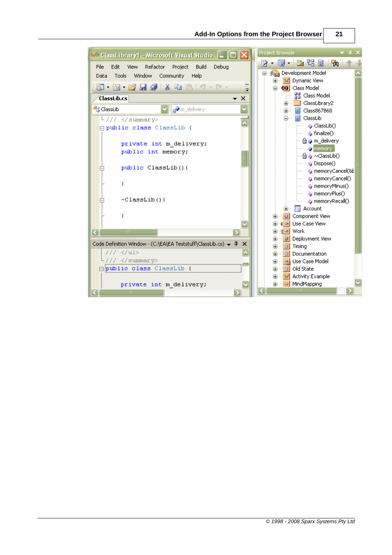#### **Add-In Options from the Project Browser 21**

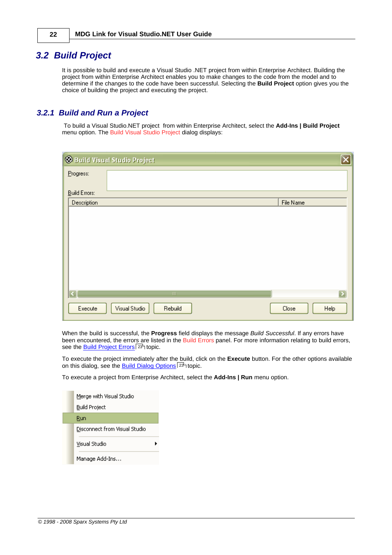### <span id="page-25-0"></span>*3.2 Build Project*

It is possible to build and execute a Visual Studio .NET project from within Enterprise Architect. Building the project from within Enterprise Architect enables you to make changes to the code from the model and to determine if the changes to the code have been successful. Selecting the **Build Project** option gives you the choice of building the project and executing the project.

#### <span id="page-25-1"></span>*3.2.1 Build and Run a Project*

 To build a Visual Studio.NET project from within Enterprise Architect, select the **Add-Ins | Build Project** menu option. The Build Visual Studio Project dialog displays:

|               | S Build Visual Studio Project | $\overline{\boxtimes}$ |
|---------------|-------------------------------|------------------------|
| Progress:     |                               |                        |
| Build Errors: |                               |                        |
| Description   |                               | File Name              |
|               |                               |                        |
|               |                               |                        |
|               |                               |                        |
|               |                               |                        |
|               |                               |                        |
|               |                               |                        |
|               |                               |                        |
|               |                               |                        |
|               |                               |                        |
|               | $\mathbb H\mathbb H$          | ◘                      |
| Execute       | Visual Studio<br>Rebuild      | Help<br>Close          |

When the build is successful, the **Progress** field displays the message *Build Successful*. If any errors have been encountered, the errors are listed in the Build Errors panel. For more information relating to build errors, see the <u>Build Project Errors</u>l <sup>23</sup> topic.

To execute the project immediately after the build, click on the **Execute** button. For the other options available on this dialog, see the <u>[Build Dialog Options](#page-26-0)</u>| 23 topic.

To execute a project from Enterprise Architect, select the **Add-Ins | Run** menu option.

| Merge with Visual Studio      |  |
|-------------------------------|--|
| <b>Build Project</b>          |  |
| Run                           |  |
| Disconnect from Visual Studio |  |
| Visual Studio                 |  |
| Manage Add-Ins                |  |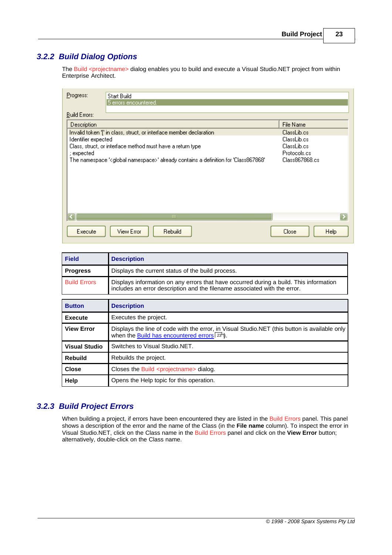### <span id="page-26-0"></span>*3.2.2 Build Dialog Options*

The Build <projectname> dialog enables you to build and execute a Visual Studio.NET project from within Enterprise Architect.

| Progress:           | Start Build<br>5 errors encountered.                                                |                |      |
|---------------------|-------------------------------------------------------------------------------------|----------------|------|
| Build Errors:       |                                                                                     |                |      |
| Description         |                                                                                     | File Name      |      |
|                     | Invalid token "[" in class, struct, or interface member declaration                 | ClassLib.cs    |      |
| Identifier expected |                                                                                     | ClassLib.cs    |      |
|                     | Class, struct, or interface method must have a return type.                         | ClassLib.cs    |      |
| ; expected.         |                                                                                     | Protocols.cs   |      |
|                     | The namespace '< global namespace>' already contains a definition for 'Class867868' | Class867868.cs |      |
|                     |                                                                                     |                |      |
|                     | $\mathbf{m}$                                                                        |                | ⋝    |
| <b>Execute</b>      | View Error<br>Rebuild                                                               | Close          | Help |

| <b>Field</b>         | <b>Description</b>                                                                                                                                                  |  |  |
|----------------------|---------------------------------------------------------------------------------------------------------------------------------------------------------------------|--|--|
| <b>Progress</b>      | Displays the current status of the build process.                                                                                                                   |  |  |
| <b>Build Errors</b>  | Displays information on any errors that have occurred during a build. This information<br>includes an error description and the filename associated with the error. |  |  |
| <b>Button</b>        | <b>Description</b>                                                                                                                                                  |  |  |
| <b>Execute</b>       | Executes the project.                                                                                                                                               |  |  |
| <b>View Error</b>    | Displays the line of code with the error, in Visual Studio.NET (this button is available only<br>when the Build has encountered errors $(23^2)$ .                   |  |  |
| <b>Visual Studio</b> | Switches to Visual Studio.NET.                                                                                                                                      |  |  |
| <b>Rebuild</b>       | Rebuilds the project.                                                                                                                                               |  |  |
| <b>Close</b>         | Closes the Build <projectname> dialog.</projectname>                                                                                                                |  |  |
| Help                 | Opens the Help topic for this operation.                                                                                                                            |  |  |

#### <span id="page-26-1"></span>*3.2.3 Build Project Errors*

When building a project, if errors have been encountered they are listed in the Build Errors panel. This panel shows a description of the error and the name of the Class (in the **File name** column). To inspect the error in Visual Studio.NET, click on the Class name in the Build Errors panel and click on the **View Error** button; alternatively, double-click on the Class name.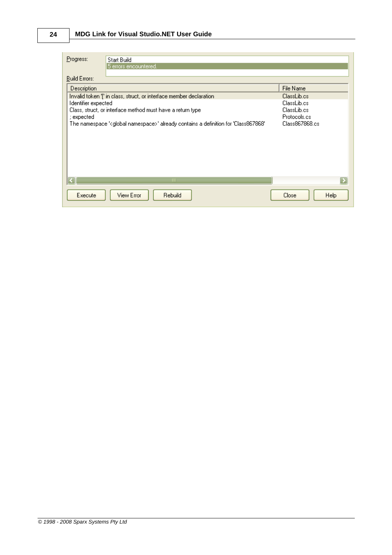### **24 MDG Link for Visual Studio.NET User Guide**

| Progress:                         | Start Build<br>5 errors encountered.                                                                                                                                                                                      |                                                                             |
|-----------------------------------|---------------------------------------------------------------------------------------------------------------------------------------------------------------------------------------------------------------------------|-----------------------------------------------------------------------------|
| Build Errors:                     |                                                                                                                                                                                                                           |                                                                             |
| Description                       |                                                                                                                                                                                                                           | File Name                                                                   |
| Identifier expected<br>; expected | Invalid token "[" in class, struct, or interface member declaration<br>Class, struct, or interface method must have a return type.<br>The namespace '< global namespace>' already contains a definition for 'Class867868' | ClassLib.cs<br>ClassLib.cs<br>ClassLib.cs<br>Protocols.cs<br>Class867868.cs |
|                                   | $\mathbf{III}$                                                                                                                                                                                                            |                                                                             |
| Execute                           | View Error<br>Rebuild                                                                                                                                                                                                     | Close<br>Help                                                               |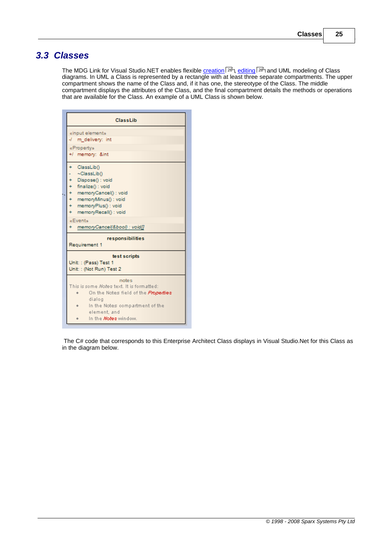### <span id="page-28-0"></span>*3.3 Classes*

The MDG Link for Visual Studio.NET enables flexible <u>[creation](#page-29-0)</u> | ﷺ and UML modeling of Class حَمَّة ال diagrams. In UML a Class is represented by a rectangle with at least three separate compartments. The upper compartment shows the name of the Class and, if it has one, the stereotype of the Class. The middle compartment displays the attributes of the Class, and the final compartment details the methods or operations that are available for the Class. An example of a UML Class is shown below. 26 <del>2</del> editina | 28

| <b>ClassLib</b>                                                                                                                                                                                                                      |  |  |  |
|--------------------------------------------------------------------------------------------------------------------------------------------------------------------------------------------------------------------------------------|--|--|--|
| «input element»<br>-/ m delivery: int<br>«Property»<br>+/ memory: ∫                                                                                                                                                                  |  |  |  |
| ClassLib <sub>()</sub><br>- ~ClassLib()<br>+ Dispose() : void<br>+ finalize() : void<br>+ memoryCancel() : void<br>+ memoryMinus(): void<br>+ memoryPlus(): void<br>memoryRecall() : void<br>«Event»<br>memoryCancel(&bool) : void[] |  |  |  |
| responsibilities<br>Requirement 1                                                                                                                                                                                                    |  |  |  |
| test scripts<br>Unit: : (Pass) Test 1<br>Unit: : (Not Run) Test 2                                                                                                                                                                    |  |  |  |
| notes<br>This is some Notes text. It is formatted:<br>On the Notes field of the Properties<br>dialog                                                                                                                                 |  |  |  |
| In the Notes compartment of the<br>element, and<br>In the <i>Notes</i> window.                                                                                                                                                       |  |  |  |

 The C# code that corresponds to this Enterprise Architect Class displays in Visual Studio.Net for this Class as in the diagram below.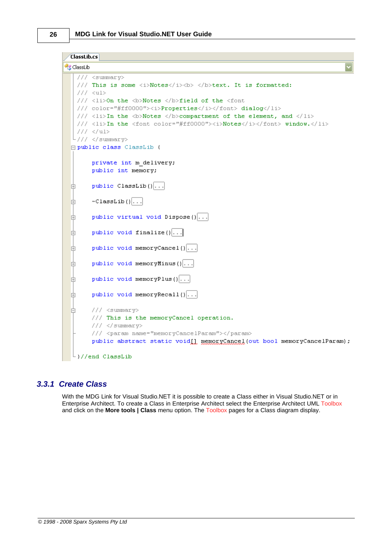```
ClassLib.cs
```

```
K ClassLib
  /// <summary>
  /// This is some <i>Notes</i><b> </b>></b>text. It is formatted:
  777 <u1>
  /// <li>On the <b>Notes </b>field of the <font
  /// color="#ff0000"><i>Properties</i></font> dialog</li>
  /// <1i>In the <b>>Notes </b>compartment of the element, and </1i>
  /// <li>In the <font color="#ff0000"><i>Notes</i></font> window.</li>
  // / </ul>
 \mathsf{L}/// </summary>
□ public class ClassLib {
      private int m delivery;
      public int memory;
      public ClassLib()...
由
      ~\simClassLib()...
由
      public virtual void Dispose()...
南
      public void finalize()...
庫
      public void memoryCancel()...
臣
      public void memoryMinus()...
庄
      public void memoryPlus()...
庫
      public void memoryRecall()...
IĖ
      /// <summary>
E
      // This is the memoryCancel operation.
      // \times / \text{summary}/// <param name="memoryCancelParam"></param>
      public abstract static void[] memoryCancel(out bool memoryCancelParam);
 - }//end ClassLib
```
#### <span id="page-29-0"></span>*3.3.1 Create Class*

With the MDG Link for Visual Studio.NET it is possible to create a Class either in Visual Studio.NET or in Enterprise Architect. To create a Class in Enterprise Architect select the Enterprise Architect UML Toolbox and click on the **More tools | Class** menu option. The Toolbox pages for a Class diagram display.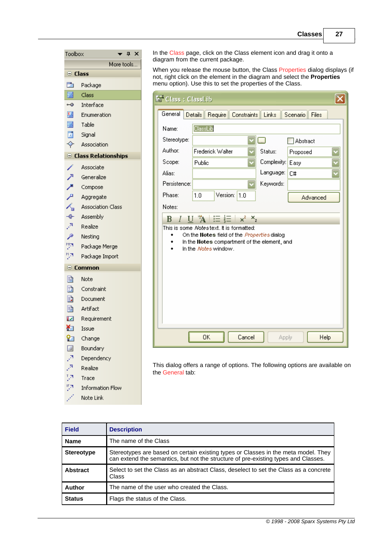

In the Class page, click on the Class element icon and drag it onto a diagram from the current package.

When you release the mouse button, the Class Properties dialog displays (if not, right click on the element in the diagram and select the **Properties** menu option). Use this to set the properties of the Class.

| General                                                                                 |  |  |  |  |  |  |
|-----------------------------------------------------------------------------------------|--|--|--|--|--|--|
| Details   Require   Constraints<br>Links<br>Scenario<br>Files                           |  |  |  |  |  |  |
| ClassLib<br>Name:                                                                       |  |  |  |  |  |  |
| Stereotype:<br>$\Box$<br>Abstract                                                       |  |  |  |  |  |  |
| Author:<br>Frederick Walter<br>Status:<br>Proposed                                      |  |  |  |  |  |  |
| Complexity:<br>Scope:<br>Public<br>Easy                                                 |  |  |  |  |  |  |
| Language:<br>Alias:<br>C#                                                               |  |  |  |  |  |  |
| Persistence:<br>Keywords:                                                               |  |  |  |  |  |  |
| Version: 1.0<br>Phase:<br>1.0<br>Advanced                                               |  |  |  |  |  |  |
| Notes:                                                                                  |  |  |  |  |  |  |
| I U $\mathbf{A}$ $\equiv \equiv x^2$ $\mathbf{x}_2$<br>B                                |  |  |  |  |  |  |
| This is some Notestext, it is formatted:<br>On the Notes field of the Properties dialog |  |  |  |  |  |  |
| In the Notes compartment of the element, and                                            |  |  |  |  |  |  |
| In the Notes window.                                                                    |  |  |  |  |  |  |
|                                                                                         |  |  |  |  |  |  |
|                                                                                         |  |  |  |  |  |  |
|                                                                                         |  |  |  |  |  |  |
|                                                                                         |  |  |  |  |  |  |
|                                                                                         |  |  |  |  |  |  |
|                                                                                         |  |  |  |  |  |  |
| <b>OK</b><br>Cancel<br>Help<br>Apply                                                    |  |  |  |  |  |  |

<span id="page-30-0"></span>This dialog offers a range of options. The following options are available on the General tab:

| <b>Field</b>      | <b>Description</b>                                                                                                                                                       |
|-------------------|--------------------------------------------------------------------------------------------------------------------------------------------------------------------------|
| <b>Name</b>       | The name of the Class                                                                                                                                                    |
| <b>Stereotype</b> | Stereotypes are based on certain existing types or Classes in the meta model. They<br>can extend the semantics, but not the structure of pre-existing types and Classes. |
| Abstract          | Select to set the Class as an abstract Class, deselect to set the Class as a concrete<br>Class                                                                           |
| Author            | The name of the user who created the Class.                                                                                                                              |
| <b>Status</b>     | Flags the status of the Class.                                                                                                                                           |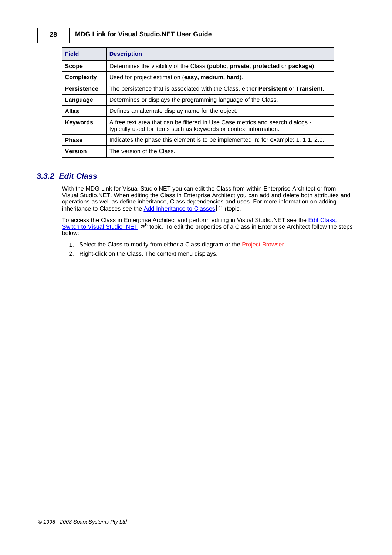| <b>Field</b>       | <b>Description</b>                                                                                                                                  |
|--------------------|-----------------------------------------------------------------------------------------------------------------------------------------------------|
| <b>Scope</b>       | Determines the visibility of the Class (public, private, protected or package).                                                                     |
| <b>Complexity</b>  | Used for project estimation (easy, medium, hard).                                                                                                   |
| <b>Persistence</b> | The persistence that is associated with the Class, either Persistent or Transient.                                                                  |
| Language           | Determines or displays the programming language of the Class.                                                                                       |
| <b>Alias</b>       | Defines an alternate display name for the object.                                                                                                   |
| <b>Keywords</b>    | A free text area that can be filtered in Use Case metrics and search dialogs -<br>typically used for items such as keywords or context information. |
| <b>Phase</b>       | Indicates the phase this element is to be implemented in; for example: 1, 1.1, 2.0.                                                                 |
| <b>Version</b>     | The version of the Class.                                                                                                                           |

#### <span id="page-31-0"></span>*3.3.2 Edit Class*

With the MDG Link for Visual Studio.NET you can edit the Class from within Enterprise Architect or from Visual Studio.NET. When editing the Class in Enterprise Architect you can add and delete both attributes and operations as well as define inheritance, Class dependencies and uses. For more information on adding inheritance to Classes see the <u>Add Inheritance to Classes</u> 31 topic.

To access the Class in Enterprise Architect and perform editing in Visual Studio.NET see the [Edit Class,](#page-32-0) <u>[Switch to Visual Studio .NET](#page-32-0)</u> l  $^{2g}$  topic. To edit the properties of a Class in Enterprise Architect follow the steps below:

- 1. Select the Class to modify from either a Class diagram or the Project Browser.
- 2. Right-click on the Class. The context menu displays.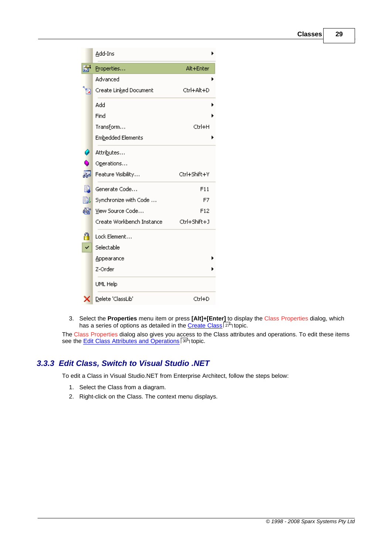|           | Add-Ins                   |              |
|-----------|---------------------------|--------------|
|           | Properties                | Alt+Enter    |
|           | Advanced                  |              |
| z         | Create Linked Document    | Ctrl+Alt+D   |
|           | Add                       |              |
|           | Find                      |              |
|           | Transform                 | Ctrl+H       |
|           | <b>Embedded Elements</b>  |              |
|           | Attri <u>b</u> utes       |              |
| $\bullet$ | Operations                |              |
| 曏         | Feature Visibility        | Ctrl+Shift+Y |
| B.        | Generate Code             | F11          |
| 勖         | Synchronize with Code     | F7           |
| 61        | View Source Code          | F12          |
|           | Create Workbench Instance | Ctrl+Shift+J |
| a         | Lock Element              |              |
| ✓         | Selectable                |              |
|           | Appearance                |              |
|           | Z-Order                   |              |
|           | UML Help                  |              |
|           | Delete 'ClassLib'         | Ctrl+D       |

3. Select the **Properties** menu item or press **[Alt]+[Enter]** to display the Class Properties dialog, which has a series of options as detailed in the [Create Class](#page-30-0) 27 topic.

The Class Properties dialog also gives you access to the Class attributes and operations. To edit these items see the <u>Edit Class Attributes and Operations</u> | 30 ीtopic.

#### <span id="page-32-0"></span>*3.3.3 Edit Class, Switch to Visual Studio .NET*

To edit a Class in Visual Studio.NET from Enterprise Architect, follow the steps below:

- 1. Select the Class from a diagram.
- 2. Right-click on the Class. The context menu displays.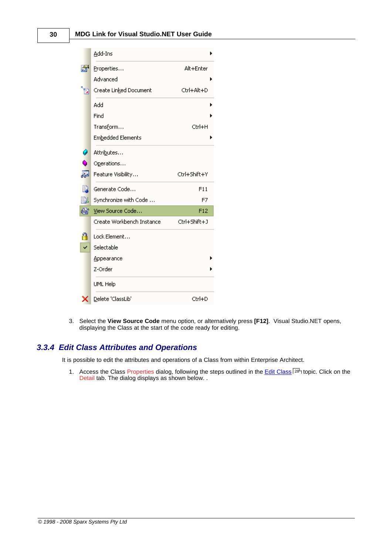|     | Add-Ins                   |              |
|-----|---------------------------|--------------|
| 舒   | Properties                | Alt+Enter    |
|     | Advanced                  |              |
| Я   | Create Linked Document    | Ctrl+Alt+D   |
|     | hbA                       |              |
|     | Find                      |              |
|     | Transform                 | Ctrl+H       |
|     | <b>Embedded Elements</b>  |              |
|     | Attributes                |              |
| ٥   | Operations                |              |
| 曏   | Feature Visibility        | Ctrl+Shift+Y |
| B   | Generate Code             | F11          |
| BI. | Synchronize with Code     | F7           |
| 61  | View Source Code          | F12          |
|     | Create Workbench Instance | Ctrl+Shift+J |
| А   | Lock Element              |              |
|     | Selectable                |              |
|     | Appearance                |              |
|     | Z-Order                   |              |
|     | UML Help                  |              |
|     | Delete 'ClassLib'         | Ctrl+D       |

3. Select the **View Source Code** menu option, or alternatively press **[F12]**. Visual Studio.NET opens, displaying the Class at the start of the code ready for editing.

#### <span id="page-33-0"></span>*3.3.4 Edit Class Attributes and Operations*

It is possible to edit the attributes and operations of a Class from within Enterprise Architect.

1. Access the Class Properties dialog, following the steps outlined in the <u>[Edit Class](#page-31-0)</u> [28<sup>5</sup>] topic. Click on the Detail tab. The dialog displays as shown below. .

*© 1998 - 2008 Sparx Systems Pty Ltd*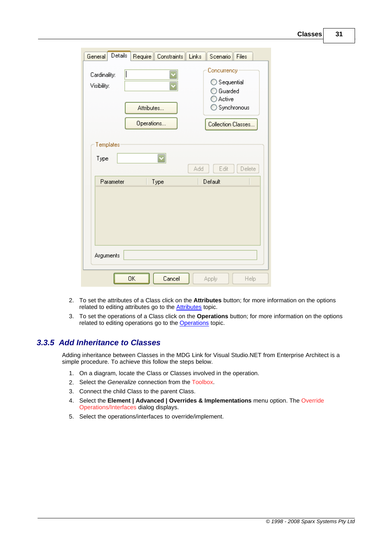| General                     | <b>Details</b> | Require                  | <b>Constraints</b> | Links | Scenario                                                                                      | Files  |
|-----------------------------|----------------|--------------------------|--------------------|-------|-----------------------------------------------------------------------------------------------|--------|
| Cardinality:<br>Visibility: | I              | Attributes<br>Operations |                    |       | Concurrency<br>$\supset$ Sequential<br>Guarded<br>Active<br>Synchronous<br>Collection Classes |        |
| Type                        | Templates      |                          |                    | Add   | Edit                                                                                          | Delete |
|                             | Parameter      |                          | Type               |       | Default                                                                                       |        |
|                             | Arguments      | OΚ                       | Cancel             |       | Apply                                                                                         | Help   |

- 2. To set the attributes of a Class click on the **Attributes** button; for more information on the options related to editing attributes go to the [Attributes](http://www.sparxsystems.com.au/EAUserGuide/index.html?attributes.htm) topic.
- 3. To set the operations of a Class click on the **Operations** button; for more information on the options related to editing operations go to the [Operations](http://www.sparxsystems.com.au/EAUserGuide/index.html?operations.htm) topic.

#### <span id="page-34-0"></span>*3.3.5 Add Inheritance to Classes*

Adding inheritance between Classes in the MDG Link for Visual Studio.NET from Enterprise Architect is a simple procedure. To achieve this follow the steps below.

- 1. On a diagram, locate the Class or Classes involved in the operation.
- 2. Select the *Generalize* connection from the Toolbox.
- 3. Connect the child Class to the parent Class.
- 4. Select the **Element | Advanced | Overrides & Implementations** menu option. The Override Operations/Interfaces dialog displays.
- 5. Select the operations/interfaces to override/implement.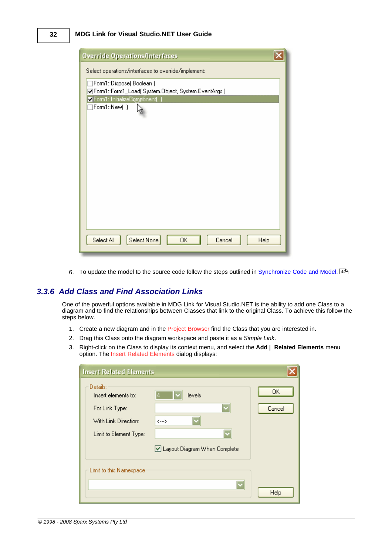#### **32 MDG Link for Visual Studio.NET User Guide**

| <b>Override Operations/Interfaces</b>                                          |  |
|--------------------------------------------------------------------------------|--|
| Select operations/interfaces to override/implement:                            |  |
| Form1::Dispose(Boolean)<br>☑Form1::Form1_Load(System.Object, System.EventArgs) |  |
| Form1::InitializeComponent()                                                   |  |
| Form1::New[]                                                                   |  |
|                                                                                |  |
|                                                                                |  |
|                                                                                |  |
|                                                                                |  |
|                                                                                |  |
|                                                                                |  |
|                                                                                |  |
|                                                                                |  |
| Select All<br>Select None<br>Cancel<br>ΟK<br>Help                              |  |

6. To update the model to the source code follow the steps outlined in **Synchronize Code and Model.** [44]

#### <span id="page-35-0"></span>*3.3.6 Add Class and Find Association Links*

One of the powerful options available in MDG Link for Visual Studio.NET is the ability to add one Class to a diagram and to find the relationships between Classes that link to the original Class. To achieve this follow the steps below.

- 1. Create a new diagram and in the Project Browser find the Class that you are interested in.
- 
- 2. Drag this Class onto the diagram workspace and paste it as a *Simple Link*. 3. Right-click on the Class to display its context menu, and select the **Add | Related Elements** menu option. The Insert Related Elements dialog displays:

| <b>Insert Related Elements</b>                                                                                                 |                                                         |              |
|--------------------------------------------------------------------------------------------------------------------------------|---------------------------------------------------------|--------------|
| Details:<br>Insert elements to:<br>For Link Type:<br>With Link Direction:<br>Limit to Element Type:<br>Limit to this Namespace | 14<br>levels<br><---><br>☑ Layout Diagram When Complete | OK<br>Cancel |
|                                                                                                                                |                                                         | Help         |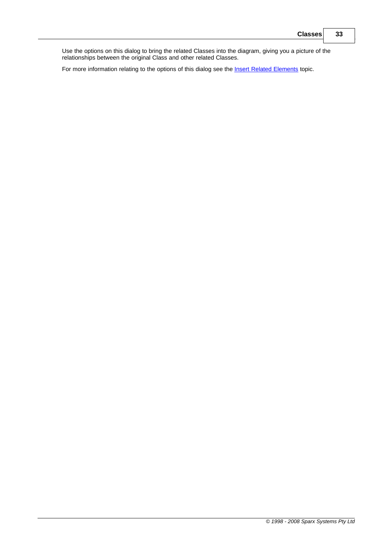Use the options on this dialog to bring the related Classes into the diagram, giving you a picture of the relationships between the original Class and other related Classes.

For more information relating to the options of this dialog see the **Insert Related Elements** topic.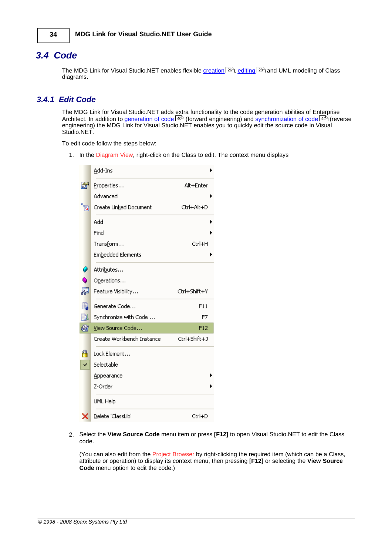### <span id="page-37-0"></span>*3.4 Code*

The MDG Link for Visual Studio.NET enables flexible <u>[creation](#page-29-0)</u> | ﷺ and UML modeling of Class حَمَّات diagrams.

#### <span id="page-37-1"></span>*3.4.1 Edit Code*

The MDG Link for Visual Studio.NET adds extra functionality to the code generation abilities of Enterprise Architect. In addition to <u>[generation of code](#page-43-0)</u>l <sup>40</sup> (forward engineering) and <u>[synchronization of code](#page-47-0)</u>l <sup>44</sup> (reverse engineering) the MDG Link for Visual Studio.NET enables you to quickly edit the source code in Visual Studio.NET.

To edit code follow the steps below:

1. In the Diagram View, right-click on the Class to edit. The context menu displays



2. Select the **View Source Code** menu item or press **[F12]** to open Visual Studio.NET to edit the Class code.

(You can also edit from the Project Browser by right-clicking the required item (which can be a Class, attribute or operation) to display its context menu, then pressing **[F12]** or selecting the **View Source Code** menu option to edit the code.)

*© 1998 - 2008 Sparx Systems Pty Ltd*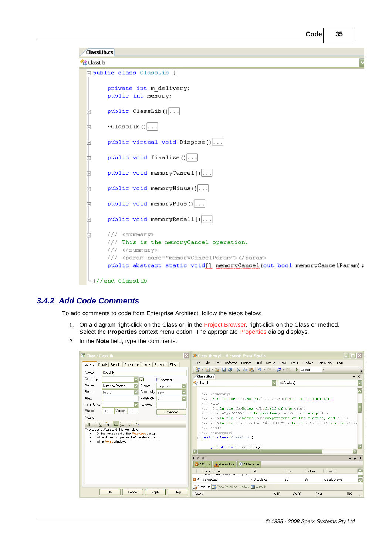

#### <span id="page-38-0"></span>*3.4.2 Add Code Comments*

To add comments to code from Enterprise Architect, follow the steps below:

- 1. On a diagram right-click on the Class or, in the Project Browser, right-click on the Class or method. Select the **Properties** context menu option. The appropriate Properties dialog displays.
- 2. In the **Note** field, type the comments.

| Class : ClassLib                                                                             | <b>CO ClassLibrary1</b> - Microsoft Visual Studio<br>Ι×<br>m                                                                                           |  |  |
|----------------------------------------------------------------------------------------------|--------------------------------------------------------------------------------------------------------------------------------------------------------|--|--|
| General Details Require Constraints Links Scenario Files                                     | Edit View Refactor<br>Project Build Debug Data Tools Window<br>File<br>Community<br>Help                                                               |  |  |
| ClassLib<br>Name:                                                                            | 御・御・25日15 人 40 8 9 - 0 - 5 - 5  <br>$\triangleright$ Debua<br>$\overline{\phantom{a}}$                                                                 |  |  |
| Stereotype:<br>$\blacktriangledown$<br>$\Box$<br>Abstract                                    | $\bullet$ $\times$<br>ClassLib.cs<br><b>K</b> ClassLib<br>=©finalize()                                                                                 |  |  |
| $\overline{\nabla}$<br>Author:<br>Suzanne Pearson<br>Status:<br>Proposed                     |                                                                                                                                                        |  |  |
| $\overline{\textbf{v}}$<br>Complexity: Easy<br>Scope:<br><b>Public</b>                       | $\overline{\phantom{1}}$<br>/// <summarv></summarv>                                                                                                    |  |  |
| Language: C#<br>Alias:<br>Persistence:<br>Keywords:                                          | /// This is some <i>Notes</i><br>text. It is formatted:<br>$111$ <u1></u1>                                                                             |  |  |
| Version: 1.0<br>Phase:<br>1.0<br>Advanced                                                    | /// <li>On the <b>Notes </b>field of the <font< th=""></font<></li>                                                                                    |  |  |
| Notes:                                                                                       | /// color="#ff0000"> <i>Properties</i> dialog<br>/// $\langle$ 1i>In the $\langle$ b>Notes $\langle$ /b>compartment of the element, and $\langle$ /1i> |  |  |
| B $I \cup \mathbb{A}$ $\equiv$ $\equiv$ $x^2$ $x^2$                                          | /// <li>In the <font color="#ff0000"><i>Notes</i></font> window.</li>                                                                                  |  |  |
| This is some Notestext. It is formatted:<br>On the Notes field of the Properties dialog<br>٠ | $111 \times 112$<br>└ / / /                                                                                                                            |  |  |
| In the Notes compartment of the element, and<br>٠<br>In the Notes window.<br>٠               | <b>Fipublic class ClassLib {</b>                                                                                                                       |  |  |
|                                                                                              | private int m delivery;                                                                                                                                |  |  |
|                                                                                              | $\left  \boldsymbol{\varsigma} \right $<br>$\overline{\phantom{a}}$                                                                                    |  |  |
| $-1 \times$<br>Error List<br>10 Warnings   0 0 Messages<br>3 5 Errors                        |                                                                                                                                                        |  |  |
| Ŀ<br>Column<br>Description<br>File<br>Project<br>Line                                        |                                                                                                                                                        |  |  |
|                                                                                              | method must nave a return type.<br>$\equiv$<br>Protocols.cs<br>ClassLibrary2<br>4 expected<br>25<br>20                                                 |  |  |
|                                                                                              | $\overline{\mathbf{v}}$<br>Error List 33 Code Definition Window E Output                                                                               |  |  |
| <b>OK</b><br>Help<br>Cancel<br>Apply                                                         | Ch3<br>Ready<br>Col 30<br><b>INS</b><br>Ln 40<br><b>A</b>                                                                                              |  |  |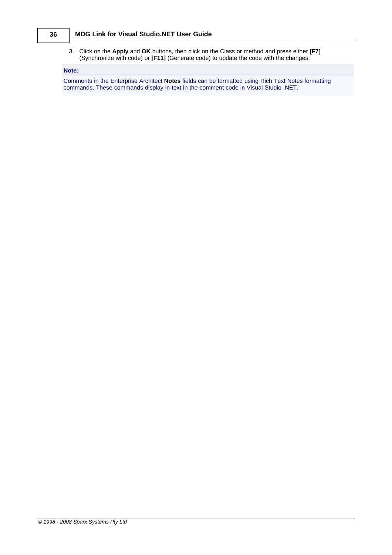#### **36 MDG Link for Visual Studio.NET User Guide**

3. Click on the **Apply** and **OK** buttons, then click on the Class or method and press either **[F7]** (Synchronize with code) or **[F11]** (Generate code) to update the code with the changes.

#### **Note:**

Comments in the Enterprise Architect **Notes** fields can be formatted using Rich Text Notes formatting commands. These commands display in-text in the comment code in Visual Studio .NET.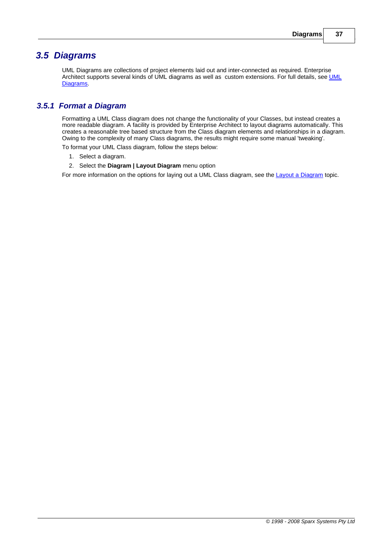### <span id="page-40-0"></span>*3.5 Diagrams*

UML Diagrams are collections of project elements laid out and inter-connected as required. Enterprise Architect supports several kinds of [UML](http://www.sparxsystems.com.au/EAUserGuide/index.html?umldiagrams.htm) diagrams as well as custom extensions. For full details, see UML [Diagrams.](http://www.sparxsystems.com.au/EAUserGuide/index.html?umldiagrams.htm)

#### <span id="page-40-1"></span>*3.5.1 Format a Diagram*

Formatting a UML Class diagram does not change the functionality of your Classes, but instead creates a more readable diagram. A facility is provided by Enterprise Architect to layout diagrams automatically. This creates a reasonable tree based structure from the Class diagram elements and relationships in a diagram. Owing to the complexity of many Class diagrams, the results might require some manual 'tweaking'.

To format your UML Class diagram, follow the steps below:

- 1. Select a diagram.
- 2. Select the **Diagram | Layout Diagram** menu option

For more information on the options for laying out a UML Class diagram, see the **[Layout a Diagram](http://www.sparxsystems.com.au/EAUserGuide/index.html?layoutadiagram.htm)** topic.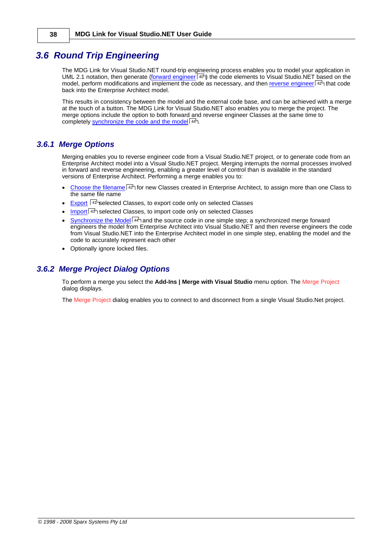#### <span id="page-41-0"></span>*3.6 Round Trip Engineering*

The MDG Link for Visual Studio.NET round-trip engineering process enables you to model your application in UML 2.1 notation, then generate (<u>forward engineer</u> | 40<sup>)</sup>) the code elements to Visual Studio.NET based on the model, perform modifications and implement the code as necessary, and then <u>[reverse engineer](#page-45-1)</u> | 42<sup>5</sup>) that code back into the Enterprise Architect model.

This results in consistency between the model and the external code base, and can be achieved with a merge at the touch of a button. The MDG Link for Visual Studio.NET also enables you to merge the project. The merge options include the option to both forward and reverse engineer Classes at the same time to completely <u>synchronize the code and the model</u>  $44^\circ$ .

#### <span id="page-41-1"></span>*3.6.1 Merge Options*

Merging enables you to reverse engineer code from a Visual Studio.NET project, or to generate code from an Enterprise Architect model into a Visual Studio.NET project. Merging interrupts the normal processes involved in forward and reverse engineering, enabling a greater level of control than is available in the standard versions of Enterprise Architect. Performing a merge enables you to:

- $\bullet$  [Choose the filename](#page-45-0)  $\left( \right.$  42 for new Classes created in Enterprise Architect, to assign more than one Class to the same file name
- [Export](#page-44-0) <sup>| 41</sup> selected Classes, to export code only on selected Classes
- [Import](#page-46-1) 43<sup>5</sup> selected Classes, to import code only on selected Classes
- [Synchronize the Model](#page-47-0)<sup>| 44</sup> and the source code in one simple step; a synchronized merge forward engineers the model from Enterprise Architect into Visual Studio.NET and then reverse engineers the code from Visual Studio.NET into the Enterprise Architect model in one simple step, enabling the model and the code to accurately represent each other
- · Optionally ignore locked files.

#### <span id="page-41-2"></span>*3.6.2 Merge Project Dialog Options*

To perform a merge you select the **Add-Ins | Merge with Visual Studio** menu option. The Merge Project dialog displays.

The Merge Project dialog enables you to connect to and disconnect from a single Visual Studio.Net project.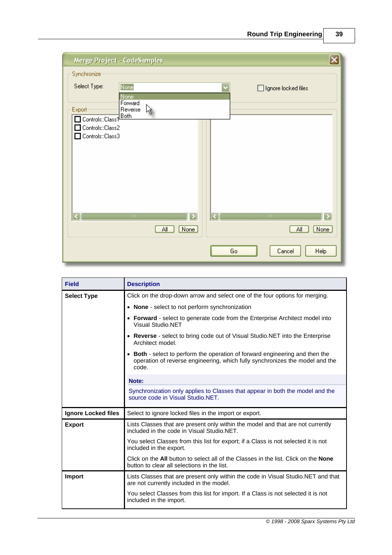| Merge Project - CodeSamples                                                                                                                                                        | $\overline{\mathsf{x}}$                                                                            |
|------------------------------------------------------------------------------------------------------------------------------------------------------------------------------------|----------------------------------------------------------------------------------------------------|
| Synchronize<br>Select Type:<br>None<br><b>None</b><br>Forward<br>Reverse<br>Export<br>Controls::Class1Both<br>Controls::Class2<br>Controls::Class3<br>⊡<br>$\overline{\mathbf{H}}$ | Ignore locked files<br>- 1<br>$\overline{\phantom{a}}$<br>$ \mathbf{c} $<br>$\mathbb{H}\mathbb{H}$ |
| All<br>None                                                                                                                                                                        | ΑI<br>None                                                                                         |
|                                                                                                                                                                                    | Go<br>Cancel<br>Help                                                                               |

| <b>Field</b>                                                                                                                                   | <b>Description</b>                                                                                                                                                    |  |  |  |  |  |  |
|------------------------------------------------------------------------------------------------------------------------------------------------|-----------------------------------------------------------------------------------------------------------------------------------------------------------------------|--|--|--|--|--|--|
| <b>Select Type</b>                                                                                                                             | Click on the drop-down arrow and select one of the four options for merging.                                                                                          |  |  |  |  |  |  |
|                                                                                                                                                | • None - select to not perform synchronization                                                                                                                        |  |  |  |  |  |  |
|                                                                                                                                                | • Forward - select to generate code from the Enterprise Architect model into<br><b>Visual Studio.NET</b>                                                              |  |  |  |  |  |  |
|                                                                                                                                                | • Reverse - select to bring code out of Visual Studio. NET into the Enterprise<br>Architect model.                                                                    |  |  |  |  |  |  |
|                                                                                                                                                | • Both - select to perform the operation of forward engineering and then the<br>operation of reverse engineering, which fully synchronizes the model and the<br>code. |  |  |  |  |  |  |
|                                                                                                                                                | Note:                                                                                                                                                                 |  |  |  |  |  |  |
|                                                                                                                                                | Synchronization only applies to Classes that appear in both the model and the<br>source code in Visual Studio.NET.                                                    |  |  |  |  |  |  |
| Ignore Locked files                                                                                                                            | Select to ignore locked files in the import or export.                                                                                                                |  |  |  |  |  |  |
| Lists Classes that are present only within the model and that are not currently<br><b>Export</b><br>included in the code in Visual Studio.NET. |                                                                                                                                                                       |  |  |  |  |  |  |
|                                                                                                                                                | You select Classes from this list for export; if a Class is not selected it is not<br>included in the export.                                                         |  |  |  |  |  |  |
|                                                                                                                                                | Click on the All button to select all of the Classes in the list. Click on the None<br>button to clear all selections in the list.                                    |  |  |  |  |  |  |
| <b>Import</b>                                                                                                                                  | Lists Classes that are present only within the code in Visual Studio.NET and that<br>are not currently included in the model.                                         |  |  |  |  |  |  |
|                                                                                                                                                | You select Classes from this list for import. If a Class is not selected it is not<br>included in the import.                                                         |  |  |  |  |  |  |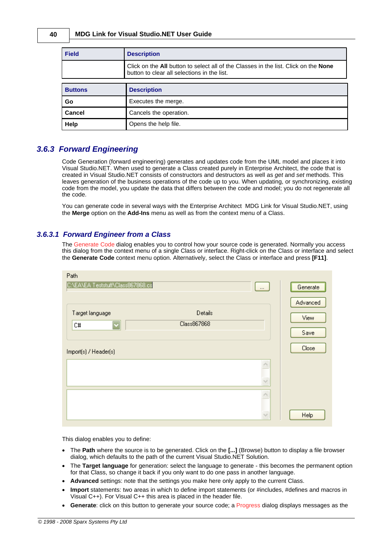| <b>Field</b>   | <b>Description</b>                                                                                                                 |  |  |
|----------------|------------------------------------------------------------------------------------------------------------------------------------|--|--|
|                | Click on the All button to select all of the Classes in the list. Click on the None<br>button to clear all selections in the list. |  |  |
|                |                                                                                                                                    |  |  |
| <b>Buttons</b> | <b>Description</b>                                                                                                                 |  |  |
| Go             | Executes the merge.                                                                                                                |  |  |
| <b>Cancel</b>  | Cancels the operation.                                                                                                             |  |  |
| Help           | Opens the help file.                                                                                                               |  |  |

#### <span id="page-43-0"></span>*3.6.3 Forward Engineering*

Code Generation (forward engineering) generates and updates code from the UML model and places it into Visual Studio.NET. When used to generate a Class created purely in Enterprise Architect, the code that is created in Visual Studio.NET consists of constructors and destructors as well as *get* and *set* methods. This leaves generation of the business operations of the code up to you. When updating, or synchronizing, existing code from the model, you update the data that differs between the code and model; you do not regenerate all the code.

You can generate code in several ways with the Enterprise Architect MDG Link for Visual Studio.NET, using the **Merge** option on the **Add-Ins** menu as well as from the context menu of a Class.

#### <span id="page-43-1"></span>*3.6.3.1 Forward Engineer from a Class*

The Generate Code dialog enables you to control how your source code is generated. Normally you access this dialog from the context menu of a single Class or interface. Right-click on the Class or interface and select the **Generate Code** context menu option. Alternatively, select the Class or interface and press **[F11]**.

| Path<br>C:\EA\EA Teststuff\Class867868.cs         |             | $\langle \ldots \rangle$ | Generate |
|---------------------------------------------------|-------------|--------------------------|----------|
|                                                   | Details     |                          | Advanced |
| Target language<br>$\overline{\phantom{0}}$<br>C# | Class867868 |                          | View     |
|                                                   |             |                          | Save     |
| Import(s) / Header(s)                             |             |                          | Close    |
|                                                   |             |                          |          |
|                                                   |             | $\checkmark$             |          |
|                                                   |             | Ą                        |          |
|                                                   |             | $\sim$                   | Help     |

This dialog enables you to define:

- · The **Path** where the source is to be generated. Click on the **[...]** (Browse) button to display a file browser dialog, which defaults to the path of the current Visual Studio.NET Solution.
- · The **Target language** for generation: select the language to generate this becomes the permanent option for that Class, so change it back if you only want to do one pass in another language.
- Advanced settings: note that the settings you make here only apply to the current Class.
- · **Import** statements: two areas in which to define import statements (or #includes, #defines and macros in Visual C++). For Visual C++ this area is placed in the header file.
- · **Generate**: click on this button to generate your source code; a Progress dialog displays messages as the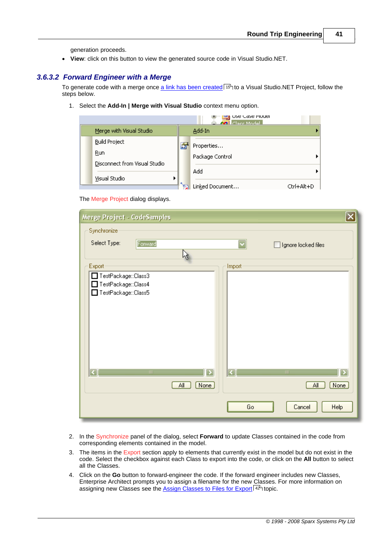generation proceeds.

· **View**: click on this button to view the generated source code in Visual Studio.NET.

#### <span id="page-44-0"></span>*3.6.3.2 Forward Engineer with a Merge*

To generate code with a merge once <u>a link has been created</u>I ፣5 to a Visual Studio.NET Project, follow the steps below.

1. Select the **Add-In | Merge with Visual Studio** context menu option.

|      |                               |   | OPE CRPE MODEL<br><b>MI</b> Clare Model |            |
|------|-------------------------------|---|-----------------------------------------|------------|
|      | Merge with Visual Studio      |   | Add-In                                  |            |
|      | <b>Build Project</b>          | 身 | Properties                              |            |
| Run. |                               |   | Package Control                         |            |
|      | Disconnect from Visual Studio |   |                                         |            |
|      | Visual Studio                 |   | Add                                     |            |
|      |                               |   | Linked Document…                        | Ctrl+Alt+D |

The Merge Project dialog displays.

| Merge Project - CodeSamples                                | ⊠                                              |
|------------------------------------------------------------|------------------------------------------------|
| Synchronize                                                |                                                |
| Select Type:<br>Forward                                    | $\overline{\textbf{v}}$<br>Ignore locked files |
| R                                                          |                                                |
| Export<br>TestPackage::Class3                              | Import                                         |
| TestPackage::Class4                                        |                                                |
| TestPackage::Class5<br>П                                   |                                                |
|                                                            |                                                |
|                                                            |                                                |
|                                                            |                                                |
|                                                            |                                                |
|                                                            |                                                |
| ◘<br>$\vert\bm\varsigma\vert$<br>$\overline{\mathsf{III}}$ | ▷<br>⋜<br>$\overline{\rm III}$                 |
| All<br>None                                                | ΑI<br>$[$ None $]$                             |
|                                                            | Cancel<br><b>Help</b><br>Go                    |
|                                                            |                                                |

- 2. In the Synchronize panel of the dialog, select **Forward** to update Classes contained in the code from corresponding elements contained in the model.
- 3. The items in the Export section apply to elements that currently exist in the model but do not exist in the code. Select the checkbox against each Class to export into the code, or click on the **All** button to select all the Classes.
- 4. Click on the **Go** button to forward-engineer the code. If the forward engineer includes new Classes, Enterprise Architect prompts you to assign a filename for the new Classes. For more information on assigning new Classes see the <u>Assign Classes to Files for Export</u>l <sup>42</sup>ী topic.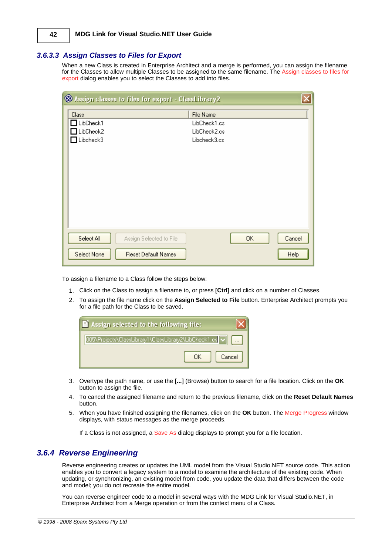#### <span id="page-45-0"></span>*3.6.3.3 Assign Classes to Files for Export*

When a new Class is created in Enterprise Architect and a merge is performed, you can assign the filename for the Classes to allow multiple Classes to be assigned to the same filename. The Assign classes to files for export dialog enables you to select the Classes to add into files.

|                                                     | S Assign classes to files for export - ClassLibrary2  |                                                           |    |                |
|-----------------------------------------------------|-------------------------------------------------------|-----------------------------------------------------------|----|----------------|
| Class<br>$\Box$ LibCheck1<br>LibCheck2<br>Libcheck3 |                                                       | File Name<br>LibCheck1.cs<br>LibCheck2.cs<br>Libcheck3.cs |    |                |
| Select All<br>Select None                           | Assign Selected to File<br><b>Reset Default Names</b> |                                                           | 0K | Cancel<br>Help |

To assign a filename to a Class follow the steps below:

- 1. Click on the Class to assign a filename to, or press **[Ctrl]** and click on a number of Classes.
- 2. To assign the file name click on the **Assign Selected to File** button. Enterprise Architect prompts you for a file path for the Class to be saved.

| ■ Assign selected to the following file:                |  |
|---------------------------------------------------------|--|
| 005\Projects\ClassLibrary1\ClassLibrary2\LibCheck1.cs v |  |
| OK   Cancel                                             |  |

- 3. Overtype the path name, or use the **[...]** (Browse) button to search for a file location. Click on the **OK** button to assign the file.
- 4. To cancel the assigned filename and return to the previous filename, click on the **Reset Default Names** button.
- 5. When you have finished assigning the filenames, click on the **OK** button. The Merge Progress window displays, with status messages as the merge proceeds.

If a Class is not assigned, a Save As dialog displays to prompt you for a file location.

#### <span id="page-45-1"></span>*3.6.4 Reverse Engineering*

Reverse engineering creates or updates the UML model from the Visual Studio.NET source code. This action enables you to convert a legacy system to a model to examine the architecture of the existing code. When updating, or synchronizing, an existing model from code, you update the data that differs between the code and model; you do not recreate the entire model.

You can reverse engineer code to a model in several ways with the MDG Link for Visual Studio.NET, in Enterprise Architect from a Merge operation or from the context menu of a Class.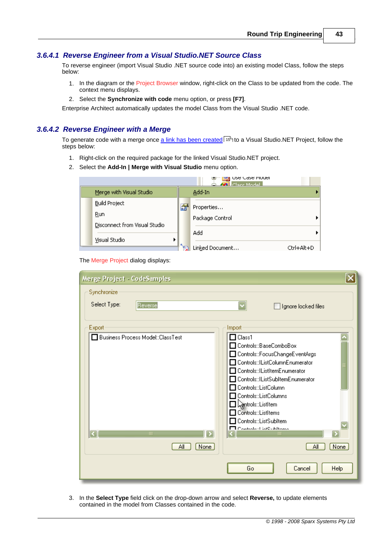#### <span id="page-46-0"></span>*3.6.4.1 Reverse Engineer from a Visual Studio.NET Source Class*

To reverse engineer (import Visual Studio .NET source code into) an existing model Class, follow the steps below:

- 1. In the diagram or the Project Browser window, right-click on the Class to be updated from the code. The context menu displays.
- 2. Select the **Synchronize with code** menu option, or press **[F7]**.

Enterprise Architect automatically updates the model Class from the Visual Studio .NET code.

#### <span id="page-46-1"></span>*3.6.4.2 Reverse Engineer with a Merge*

To generate code with a merge once <u>a link has been created</u>I ፣s<sup>≒</sup>) to a Visual Studio.NET Project, follow the steps below:

- 1. Right-click on the required package for the linked Visual Studio.NET project.
- 2. Select the **Add-In | Merge with Visual Studio** menu option.

|                                      |    | <b>AND AND LASE MODEL</b><br><b>MI</b> Clare Model |            |
|--------------------------------------|----|----------------------------------------------------|------------|
| Merge with Visual Studio             |    | Add-In                                             |            |
| <b>Build Project</b>                 | 匀  | Properties                                         |            |
| Run<br>Disconnect from Visual Studio |    | Package Control                                    |            |
|                                      |    | Add                                                |            |
| Visual Studio                        | Æ. | Linked Document…                                   | Ctrl+Alt+D |



| Merge Project - CodeSamples         |                                                                  |
|-------------------------------------|------------------------------------------------------------------|
| Synchronize                         |                                                                  |
| Select Type:<br>Reverse             | Ignore locked files                                              |
| Export                              | Import                                                           |
| □ Business Process Model::ClassTest | $\Box$ Class1                                                    |
|                                     | □ Controls::BaseComboBox                                         |
|                                     | Controls::FocusChangeEventArgs                                   |
|                                     | ヿ Controls::IListColumnEnumerator                                |
|                                     | □ Controls::IListItemEnumerator                                  |
|                                     | Controls::IListSubItemEnumerator                                 |
|                                     | □ Controls::ListColumn<br>Controls::ListColumns                  |
|                                     | antrols::ListItem                                                |
|                                     | Controls::ListItems                                              |
|                                     | Controls::ListSubItem                                            |
| ⋝<br>$\mathsf{III}\,$               | $\blacksquare$ Controlated int $\mathtt{C}$ ublicano<br>$\Pi\Pi$ |
| None<br>ΑIΙ                         | ΑIΙ<br>None                                                      |
|                                     | Cancel<br>Help<br>Go                                             |

3. In the **Select Type** field click on the drop-down arrow and select **Reverse,** to update elements contained in the model from Classes contained in the code.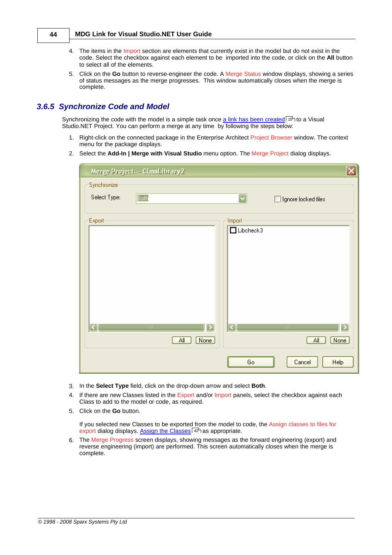#### **44 MDG Link for Visual Studio.NET User Guide**

- 4. The items in the Import section are elements that currently exist in the model but do not exist in the code. Select the checkbox against each element to be imported into the code, or click on the **All** button to select all of the elements.
- 5. Click on the **Go** button to reverse-engineer the code. A Merge Status window displays, showing a series of status messages as the merge progresses. This window automatically closes when the merge is complete.

#### <span id="page-47-0"></span>*3.6.5 Synchronize Code and Model*

Synchronizing the code with the model is a simple task once <u>[a link has been created](#page-18-0)</u>l 15 to a Visual Studio.NET Project. You can perform a merge at any time by following the steps below:

- 1. Right-click on the connected package in the Enterprise Architect Project Browser window. The context menu for the package displays.
- 2. Select the **Add-In | Merge with Visual Studio** menu option. The Merge Project dialog displays.

|              | Merge Project: - ClassLibrary2 |                            | $\boxtimes$                 |
|--------------|--------------------------------|----------------------------|-----------------------------|
| Synchronize  |                                |                            |                             |
| Select Type: | Both                           | $\blacktriangledown$       | Ignore locked files         |
|              |                                |                            |                             |
| Export       |                                | Import<br>$\Box$ Libcheck3 |                             |
|              |                                |                            |                             |
|              |                                |                            |                             |
|              |                                |                            |                             |
|              |                                |                            |                             |
|              |                                |                            |                             |
|              |                                |                            |                             |
|              |                                |                            |                             |
| न            | ◘<br>$\overline{\mathbf{m}}$   | $\boxed{\text{C}}$         | $\mathbb{H}\mathbb{H}$<br>∍ |
|              | AI<br>(Mone)                   |                            | ΑIΙ<br>None                 |
|              |                                | Go                         | Help<br>Cancel              |
|              |                                |                            |                             |

- 3. In the **Select Type** field, click on the drop-down arrow and select **Both**.
- 4. If there are new Classes listed in the Export and/or Import panels, select the checkbox against each Class to add to the model or code, as required.
- 5. Click on the **Go** button.

If you selected new Classes to be exported from the model to code, the Assign classes to files for export dialog displays. <u>[Assign the Classes](#page-45-0)</u><sup>| 42</sup> as appropriate.

6. The Merge Progress screen displays, showing messages as the forward engineering (export) and reverse engineering (import) are performed. This screen automatically closes when the merge is complete.

*© 1998 - 2008 Sparx Systems Pty Ltd*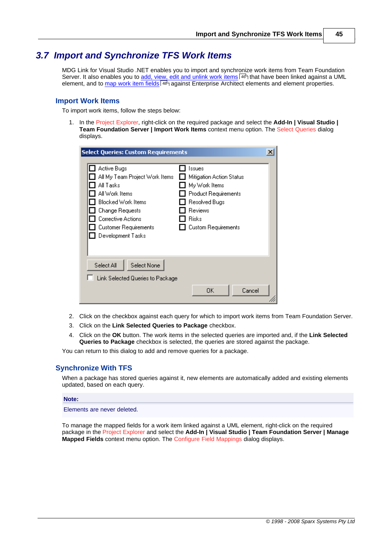### <span id="page-48-0"></span>*3.7 Import and Synchronize TFS Work Items*

MDG Link for Visual Studio .NET enables you to import and synchronize work items from Team Foundation Server. It also enables you to <u>[add, view, edit and unlink work items](#page-49-0)</u> l46<sup>4</sup> that have been linked against a UML element, and to <u>map work item fields</u> l<sup>ag</sup> against Enterprise Architect elements and element properties.

#### **Import Work Items**

To import work items, follow the steps below:

1. In the Project Explorer, right-click on the required package and select the **Add-In | Visual Studio | Team Foundation Server | Import Work Items** context menu option. The Select Queries dialog displays.

| <b>Select Queries: Custom Requirements</b>                  | $\times$ |
|-------------------------------------------------------------|----------|
|                                                             |          |
| Active Bugs<br>Issues                                       |          |
| All My Team Project Work Items.<br>Mitigation Action Status |          |
| All Tasks<br>My Work Items                                  |          |
| All Work Items<br>Product Requirements                      |          |
| Blocked Work Items<br>Resolved Bugs                         |          |
| <b>Reviews</b><br>Change Requests                           |          |
| Corrective Actions<br><b>Risks</b>                          |          |
| <b>Customer Requirements</b><br><b>Custom Requirements</b>  |          |
| Development Tasks                                           |          |
|                                                             |          |
|                                                             |          |
| Select None<br>Select All                                   |          |
| Link Selected Queries to Package                            |          |
| 0K                                                          | Cancel   |

- 2. Click on the checkbox against each query for which to import work items from Team Foundation Server.
- 3. Click on the **Link Selected Queries to Package** checkbox.
- 4. Click on the **OK** button. The work items in the selected queries are imported and, if the **Link Selected Queries to Package** checkbox is selected, the queries are stored against the package.

You can return to this dialog to add and remove queries for a package.

#### **Synchronize With TFS**

When a package has stored queries against it, new elements are automatically added and existing elements updated, based on each query.

#### **Note:**

Elements are never deleted.

To manage the mapped fields for a work item linked against a UML element, right-click on the required package in the Project Explorer and select the **Add-In | Visual Studio | Team Foundation Server | Manage Mapped Fields** context menu option. The Configure Field Mappings dialog displays.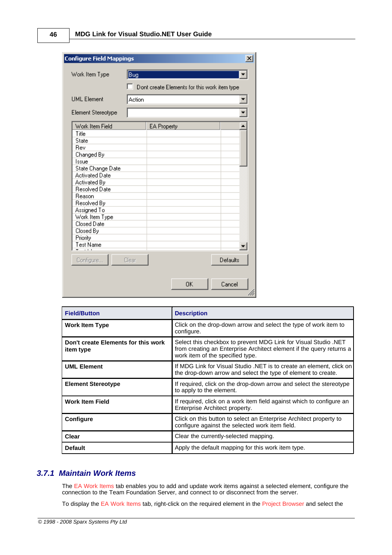| <b>Configure Field Mappings</b>                                                                                                                                                                                                                                                          |        |                    |                                              | $\boldsymbol{\times}$ |
|------------------------------------------------------------------------------------------------------------------------------------------------------------------------------------------------------------------------------------------------------------------------------------------|--------|--------------------|----------------------------------------------|-----------------------|
| Work Item Type                                                                                                                                                                                                                                                                           | Bug    |                    | Dont create Elements for this work item type |                       |
| <b>UML Element</b>                                                                                                                                                                                                                                                                       | Action |                    |                                              |                       |
| <b>Element Stereotype</b>                                                                                                                                                                                                                                                                |        |                    |                                              |                       |
| Work Item Field<br>Title<br>State<br>Rev<br>Changed By<br>Issue<br>State Change Date<br><b>Activated Date</b><br>Activated By<br><b>Besolved Date</b><br>Reason<br>Resolved By<br>Assigned To<br>Work Item Type<br>Closed Date<br>Closed By<br>Priority<br><b>Test Name</b><br>Configure | Clear  | <b>EA Property</b> |                                              | Defaults              |
|                                                                                                                                                                                                                                                                                          |        |                    | OK                                           | Cancel                |

| <b>Field/Button</b>                              | <b>Description</b>                                                                                                                                                          |
|--------------------------------------------------|-----------------------------------------------------------------------------------------------------------------------------------------------------------------------------|
| <b>Work Item Type</b>                            | Click on the drop-down arrow and select the type of work item to<br>configure.                                                                                              |
| Don't create Elements for this work<br>item type | Select this checkbox to prevent MDG Link for Visual Studio .NET<br>from creating an Enterprise Architect element if the query returns a<br>work item of the specified type. |
| <b>UML Element</b>                               | If MDG Link for Visual Studio .NET is to create an element, click on<br>the drop-down arrow and select the type of element to create.                                       |
| <b>Element Stereotype</b>                        | If required, click on the drop-down arrow and select the stereotype<br>to apply to the element.                                                                             |
| <b>Work Item Field</b>                           | If required, click on a work item field against which to configure an<br>Enterprise Architect property.                                                                     |
| Configure                                        | Click on this button to select an Enterprise Architect property to<br>configure against the selected work item field.                                                       |
| Clear                                            | Clear the currently-selected mapping.                                                                                                                                       |
| <b>Default</b>                                   | Apply the default mapping for this work item type.                                                                                                                          |

#### <span id="page-49-0"></span>*3.7.1 Maintain Work Items*

The EA Work Items tab enables you to add and update work items against a selected element, configure the connection to the Team Foundation Server, and connect to or disconnect from the server.

To display the EA Work Items tab, right-click on the required element in the Project Browser and select the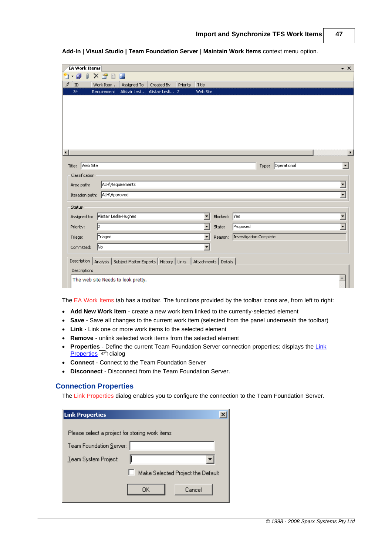| <b>EA Work Items</b>                                                                            | $\bullet$ $\times$                                              |
|-------------------------------------------------------------------------------------------------|-----------------------------------------------------------------|
| ĝ<br>ıO<br><b>× 會</b><br>$\left  \begin{array}{c} \circ \\ \circ \end{array} \right $<br>$\sim$ |                                                                 |
| P<br>Work Item<br>Assigned To<br>Created By<br>ID<br>Priority<br>Title                          |                                                                 |
| Alistair Lesli Alistair Lesli 2<br>Web Site<br>34<br>Requirement                                |                                                                 |
|                                                                                                 |                                                                 |
|                                                                                                 |                                                                 |
|                                                                                                 |                                                                 |
|                                                                                                 |                                                                 |
|                                                                                                 |                                                                 |
| $\left  \cdot \right $                                                                          | $\blacktriangleright$                                           |
|                                                                                                 |                                                                 |
| Web Site<br>Title:                                                                              | Operational<br>۰<br>Type:                                       |
| Classification                                                                                  |                                                                 |
| ALH\Requirements<br>Area path:                                                                  | $\overline{\phantom{a}}$                                        |
| Iteration path: ALH\Approved                                                                    | $\blacktriangledown$                                            |
| Status                                                                                          |                                                                 |
| Alistair Leslie-Hughes<br>Assigned to:                                                          | Yes<br>$\blacktriangledown$<br>$\blacktriangledown$<br>Blocked: |
| 2<br>Priority:                                                                                  | $\overline{\phantom{0}}$<br>Proposed<br>State:                  |
| Triaged                                                                                         | Investigation Complete<br>▼                                     |
| Triage:                                                                                         | Reason:                                                         |
| No.<br>Committed:                                                                               | ۰                                                               |
| Description   Analysis   Subject Matter Experts   History   Links   Attachments   Details       |                                                                 |
| Description:                                                                                    |                                                                 |
| The web site Needs to look pretty.                                                              |                                                                 |
|                                                                                                 |                                                                 |

**Add-In | Visual Studio | Team Foundation Server | Maintain Work Items** context menu option.

The EA Work Items tab has a toolbar. The functions provided by the toolbar icons are, from left to right:

- · **Add New Work Item** create a new work item linked to the currently-selected element
- · **Save** Save all changes to the current work item (selected from the panel underneath the toolbar)
- · **Link** Link one or more work items to the selected element
- · **Remove** unlink selected work items from the selected element
- · **Properties** Define the current Team Foundation Server connection properties; displays the [Link](#page-50-0) [Properties](#page-50-0) 47 dialog
- · **Connect** Connect to the Team Foundation Server
- · **Disconnect** Disconnect from the Team Foundation Server.

#### <span id="page-50-0"></span>**Connection Properties**

The Link Properties dialog enables you to configure the connection to the Team Foundation Server.

| <b>Link Properties</b>                         |  |
|------------------------------------------------|--|
| Please select a project for storing work items |  |
| Team Foundation Server:                        |  |
| Team System Project:                           |  |
| Make Selected Project the Default              |  |
| Cancel<br>ΠK                                   |  |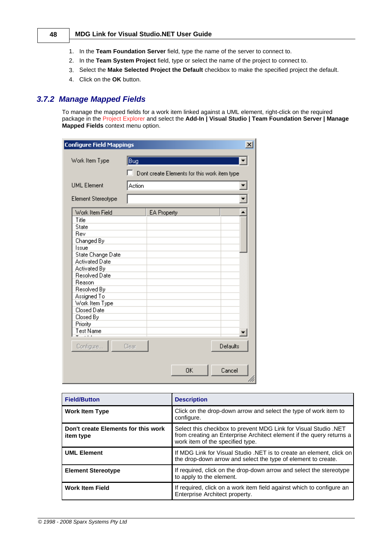#### **48 MDG Link for Visual Studio.NET User Guide**

- 1. In the **Team Foundation Server** field, type the name of the server to connect to.
- 2. In the **Team System Project** field, type or select the name of the project to connect to.
- 3. Select the **Make Selected Project the Default** checkbox to make the specified project the default.
- 4. Click on the **OK** button.

#### <span id="page-51-0"></span>*3.7.2 Manage Mapped Fields*

To manage the mapped fields for a work item linked against a UML element, right-click on the required package in the Project Explorer and select the **Add-In | Visual Studio | Team Foundation Server | Manage Mapped Fields** context menu option.

| <b>Configure Field Mappings</b>                                                                                                                                                                                                                             |              |                                              |    | $\vert x \vert$ |
|-------------------------------------------------------------------------------------------------------------------------------------------------------------------------------------------------------------------------------------------------------------|--------------|----------------------------------------------|----|-----------------|
| Work Item Type                                                                                                                                                                                                                                              | $\sqrt{Bug}$ |                                              |    |                 |
|                                                                                                                                                                                                                                                             |              | Dont create Elements for this work item type |    |                 |
| <b>UML Element</b>                                                                                                                                                                                                                                          | Action       |                                              |    |                 |
| <b>Element Stereotype</b>                                                                                                                                                                                                                                   |              |                                              |    |                 |
| Work Item Field                                                                                                                                                                                                                                             |              | <b>EA Property</b>                           |    |                 |
| Title<br>State<br>Rev<br>Changed By<br>Issue<br>State Change Date<br><b>Activated Date</b><br>Activated By<br><b>Resolved Date</b><br>Reason<br>Resolved By<br>Assigned To<br>Work Item Type<br>Closed Date<br>Closed By<br>Priority<br>Test Name<br>$-111$ |              |                                              |    |                 |
| Configure                                                                                                                                                                                                                                                   | Clear        |                                              |    | Defaults        |
|                                                                                                                                                                                                                                                             |              |                                              | OK | Cancel          |

| <b>Field/Button</b>                              | <b>Description</b>                                                                                                                                                          |
|--------------------------------------------------|-----------------------------------------------------------------------------------------------------------------------------------------------------------------------------|
| <b>Work Item Type</b>                            | Click on the drop-down arrow and select the type of work item to<br>configure.                                                                                              |
| Don't create Elements for this work<br>item type | Select this checkbox to prevent MDG Link for Visual Studio .NET<br>from creating an Enterprise Architect element if the query returns a<br>work item of the specified type. |
| <b>UML Element</b>                               | If MDG Link for Visual Studio .NET is to create an element, click on<br>the drop-down arrow and select the type of element to create.                                       |
| <b>Element Stereotype</b>                        | If required, click on the drop-down arrow and select the stereotype<br>to apply to the element.                                                                             |
| <b>Work Item Field</b>                           | If required, click on a work item field against which to configure an<br>Enterprise Architect property.                                                                     |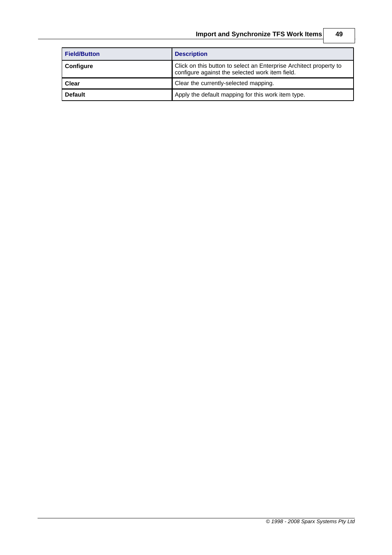| <b>Field/Button</b> | <b>Description</b>                                                                                                    |
|---------------------|-----------------------------------------------------------------------------------------------------------------------|
| <b>Configure</b>    | Click on this button to select an Enterprise Architect property to<br>configure against the selected work item field. |
| <b>Clear</b>        | Clear the currently-selected mapping.                                                                                 |
| <b>Default</b>      | Apply the default mapping for this work item type.                                                                    |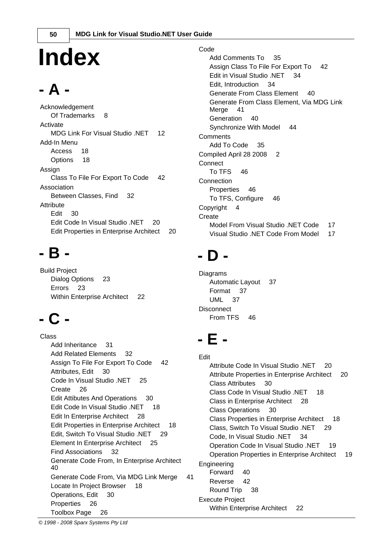# **Index**

# **- A -**

Acknowledgement Of Trademarks 8 Activate MDG Link For Visual Studio .NET 12 Add-In Menu Access 18 Options 18 Assign Class To File For Export To Code 42 Association Between Classes, Find 32 **Attribute** Edit 30 Edit Code In Visual Studio .NET 20 Edit Properties in Enterprise Architect 20

# **- B -**

Build Project Dialog Options 23 Errors 23 Within Enterprise Architect 22

# **- C -**

Class Add Inheritance 31 Add Related Elements 32 Assign To File For Export To Code 42 Attributes, Edit 30 Code In Visual Studio .NET 25 Create 26 Edit Attibutes And Operations 30 Edit Code In Visual Studio .NET 18 Edit In Enterprise Architect 28 Edit Properties in Enterprise Architect 18 Edit, Switch To Visual Studio .NET 29 Element In Enterprise Architect 25 Find Associations 32 Generate Code From, In Enterprise Architect 40 Generate Code From, Via MDG Link Merge 41 Locate In Project Browser 18 Operations, Edit 30 Properties 26 Toolbox Page 26

#### Code

Add Comments To 35 Assign Class To File For Export To 42 Edit in Visual Studio .NET 34 Edit, Introduction 34 Generate From Class Element 40 Generate From Class Element, Via MDG Link Merge 41 Generation 40 Synchronize With Model 44 **Comments** Add To Code 35 Compiled April 28 2008 2 **Connect** To TFS 46 **Connection** Properties 46 To TFS, Configure 46 Copyright 4 **Create** Model From Visual Studio .NET Code 17 Visual Studio .NET Code From Model 17

# **- D -**

Diagrams Automatic Layout 37 Format 37 UML 37 **Disconnect** From TFS 46

# **- E -**

Edit Attribute Code In Visual Studio .NET 20 Attribute Properties in Enterprise Architect 20 Class Attributes 30 Class Code In Visual Studio .NET 18 Class in Enterprise Architect 28 Class Operations 30 Class Properties in Enterprise Architect 18 Class, Switch To Visual Studio .NET 29 Code, In Visual Studio .NET 34 Operation Code In Visual Studio .NET 19 Operation Properties in Enterprise Architect 19 **Engineering** Forward 40 Reverse 42 Round Trip 38 Execute Project Within Enterprise Architect 22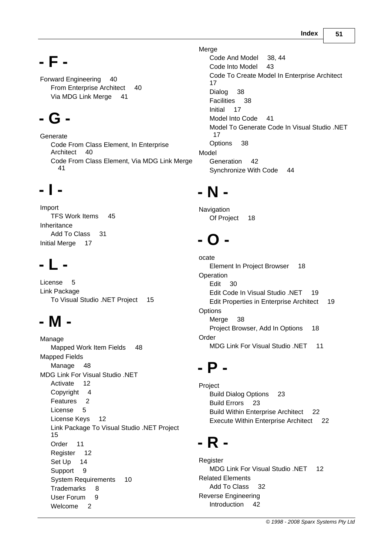# **- F -**

Forward Engineering 40 From Enterprise Architect 40 Via MDG Link Merge 41

# **- G -**

Generate Code From Class Element, In Enterprise Architect 40 Code From Class Element, Via MDG Link Merge 41

# **- I -**

Import TFS Work Items 45 Inheritance Add To Class 31 Initial Merge 17

# **- L -**

License 5 Link Package To Visual Studio .NET Project 15

# **- M -**

Manage Mapped Work Item Fields 48 Mapped Fields Manage 48 MDG Link For Visual Studio .NET Activate 12 Copyright 4 Features 2 License 5 License Keys 12 Link Package To Visual Studio .NET Project 15 Order 11 Register 12 Set Up 14 Support 9 System Requirements 10 Trademarks 8 User Forum 9 Welcome<sub>2</sub>

**Merge** Code And Model 38, 44 Code Into Model 43 Code To Create Model In Enterprise Architect 17 Dialog 38 Facilities 38 Initial 17 Model Into Code 41 Model To Generate Code In Visual Studio .NET 17 Options 38 Model Generation 42 Synchronize With Code 44

# **- N -**

Navigation Of Project 18

# **- O -**

ocate Element In Project Browser 18 **Operation** Edit 30 Edit Code In Visual Studio .NET 19 Edit Properties in Enterprise Architect 19 **Options** Merge 38 Project Browser, Add In Options 18 Order MDG Link For Visual Studio .NET 11

# **- P -**

Project Build Dialog Options 23 Build Errors 23 Build Within Enterprise Architect 22 Execute Within Enterprise Architect 22

# **- R -**

Register MDG Link For Visual Studio .NET 12 Related Elements Add To Class 32 Reverse Engineering Introduction 42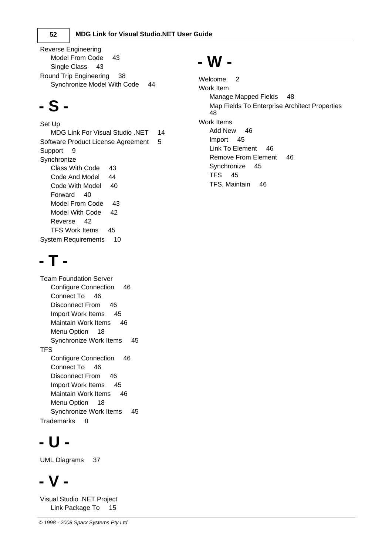Reverse Engineering Model From Code 43 Single Class 43 Round Trip Engineering 38 Synchronize Model With Code 44

# **- S -**

Set Up MDG Link For Visual Studio .NET 14 Software Product License Agreement 5 Support 9 **Synchronize** Class With Code 43 Code And Model 44 Code With Model 40 Forward 40 Model From Code 43 Model With Code 42 Reverse 42 TFS Work Items 45 System Requirements 10

# **- T -**

Team Foundation Server Configure Connection 46 Connect To 46 Disconnect From 46 Import Work Items 45 Maintain Work Items 46 Menu Option 18 Synchronize Work Items 45 TFS Configure Connection 46 Connect To 46 Disconnect From 46 Import Work Items 45 Maintain Work Items 46 Menu Option 18 Synchronize Work Items 45 Trademarks 8

# **- U -**

UML Diagrams 37

# **- V -**

Visual Studio .NET Project Link Package To 15

# **- W -**

Welcome<sub>2</sub> Work Item Manage Mapped Fields 48 Map Fields To Enterprise Architect Properties 48 Work Items Add New 46 Import 45 Link To Element 46 Remove From Element 46 Synchronize 45 TFS 45 TFS, Maintain 46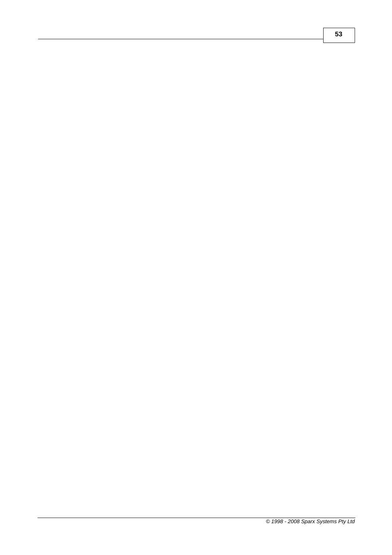**53**